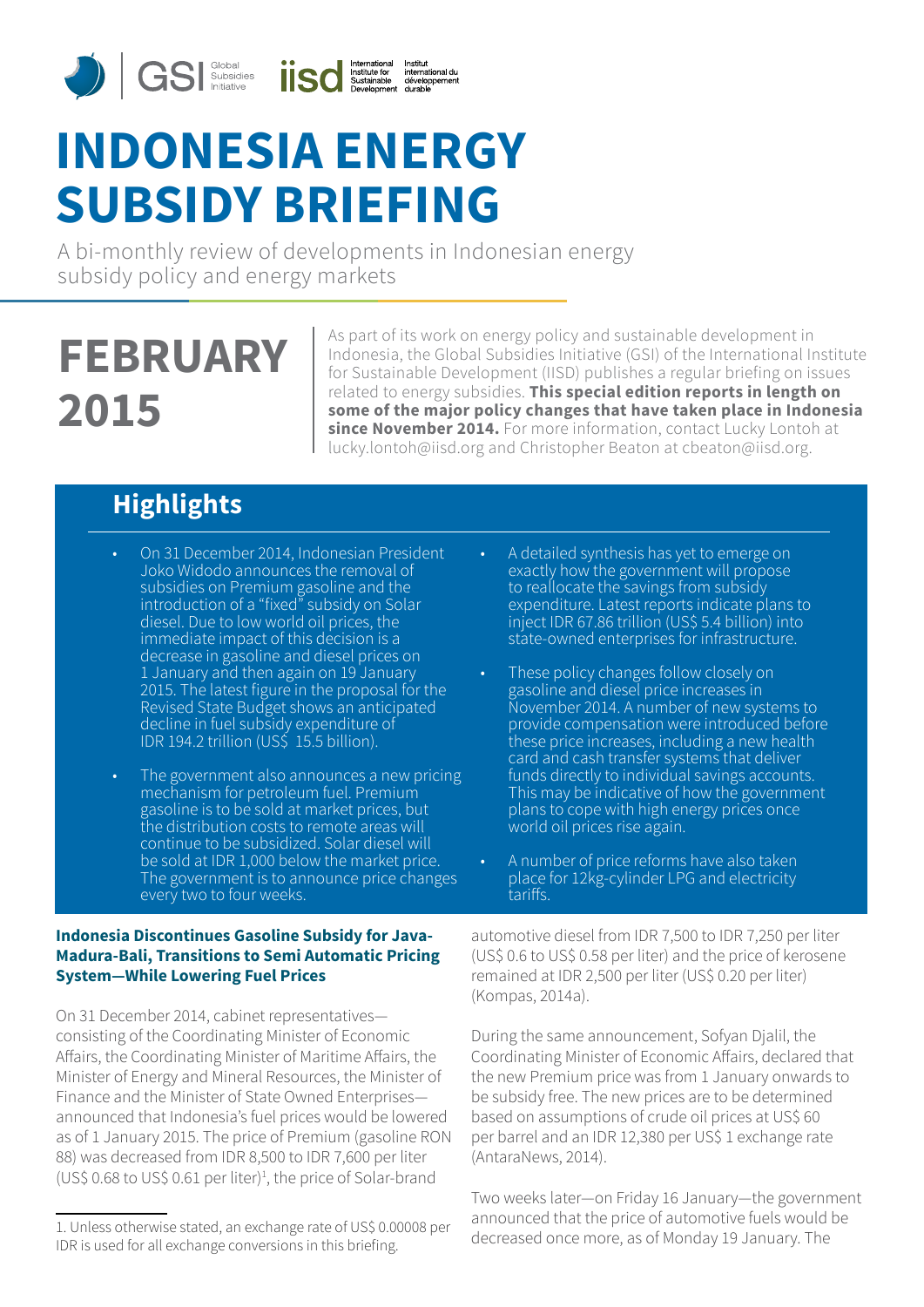

# **INDONESIA ENERGY SUBSIDY BRIEFING**

A bi-monthly review of developments in Indonesian energy subsidy policy and energy markets

# **FEBRUARY 2015**

As part of its work on energy policy and sustainable development in Indonesia, the Global Subsidies Initiative (GSI) of the International Institute for Sustainable Development (IISD) publishes a regular briefing on issues related to energy subsidies. **This special edition reports in length on some of the major policy changes that have taken place in Indonesia since November 2014.** For more information, contact Lucky Lontoh at lucky.lontoh@iisd.org and Christopher Beaton at cbeaton@iisd.org.

# **Highlights**

- On 31 December 2014, Indonesian President Joko Widodo announces the removal of subsidies on Premium gasoline and the introduction of a "fixed" subsidy on Solar diesel. Due to low world oil prices, the immediate impact of this decision is a decrease in gasoline and diesel prices on 1 January and then again on 19 January 2015. The latest figure in the proposal for the Revised State Budget shows an anticipated decline in fuel subsidy expenditure of IDR 194.2 trillion (US\$ 15.5 billion).
- The government also announces a new pricing mechanism for petroleum fuel. Premium gasoline is to be sold at market prices, but the distribution costs to remote areas will continue to be subsidized. Solar diesel will be sold at IDR 1,000 below the market price. The government is to announce price changes every two to four weeks.

# **Indonesia Discontinues Gasoline Subsidy for Java-Madura-Bali, Transitions to Semi Automatic Pricing System―While Lowering Fuel Prices**

On 31 December 2014, cabinet representatives― consisting of the Coordinating Minister of Economic Affairs, the Coordinating Minister of Maritime Affairs, the Minister of Energy and Mineral Resources, the Minister of Finance and the Minister of State Owned Enterprises― announced that Indonesia's fuel prices would be lowered as of 1 January 2015. The price of Premium (gasoline RON 88) was decreased from IDR 8,500 to IDR 7,600 per liter (US\$ 0.68 to US\$ 0.61 per liter)<sup>1</sup> , the price of Solar-brand

- A detailed synthesis has yet to emerge on exactly how the government will propose to reallocate the savings from subsidy expenditure. Latest reports indicate plans to inject IDR 67.86 trillion (US\$ 5.4 billion) into state-owned enterprises for infrastructure.
- These policy changes follow closely on gasoline and diesel price increases in November 2014. A number of new systems to provide compensation were introduced before these price increases, including a new health card and cash transfer systems that deliver funds directly to individual savings accounts. This may be indicative of how the government plans to cope with high energy prices once world oil prices rise again.
- A number of price reforms have also taken place for 12kg-cylinder LPG and electricity tariffs.

automotive diesel from IDR 7,500 to IDR 7,250 per liter (US\$ 0.6 to US\$ 0.58 per liter) and the price of kerosene remained at IDR 2,500 per liter (US\$ 0.20 per liter) (Kompas, 2014a).

During the same announcement, Sofyan Djalil, the Coordinating Minister of Economic Affairs, declared that the new Premium price was from 1 January onwards to be subsidy free. The new prices are to be determined based on assumptions of crude oil prices at US\$ 60 per barrel and an IDR 12,380 per US\$ 1 exchange rate (AntaraNews, 2014).

Two weeks later―on Friday 16 January―the government announced that the price of automotive fuels would be decreased once more, as of Monday 19 January. The

<sup>1.</sup> Unless otherwise stated, an exchange rate of US\$ 0.00008 per IDR is used for all exchange conversions in this briefing.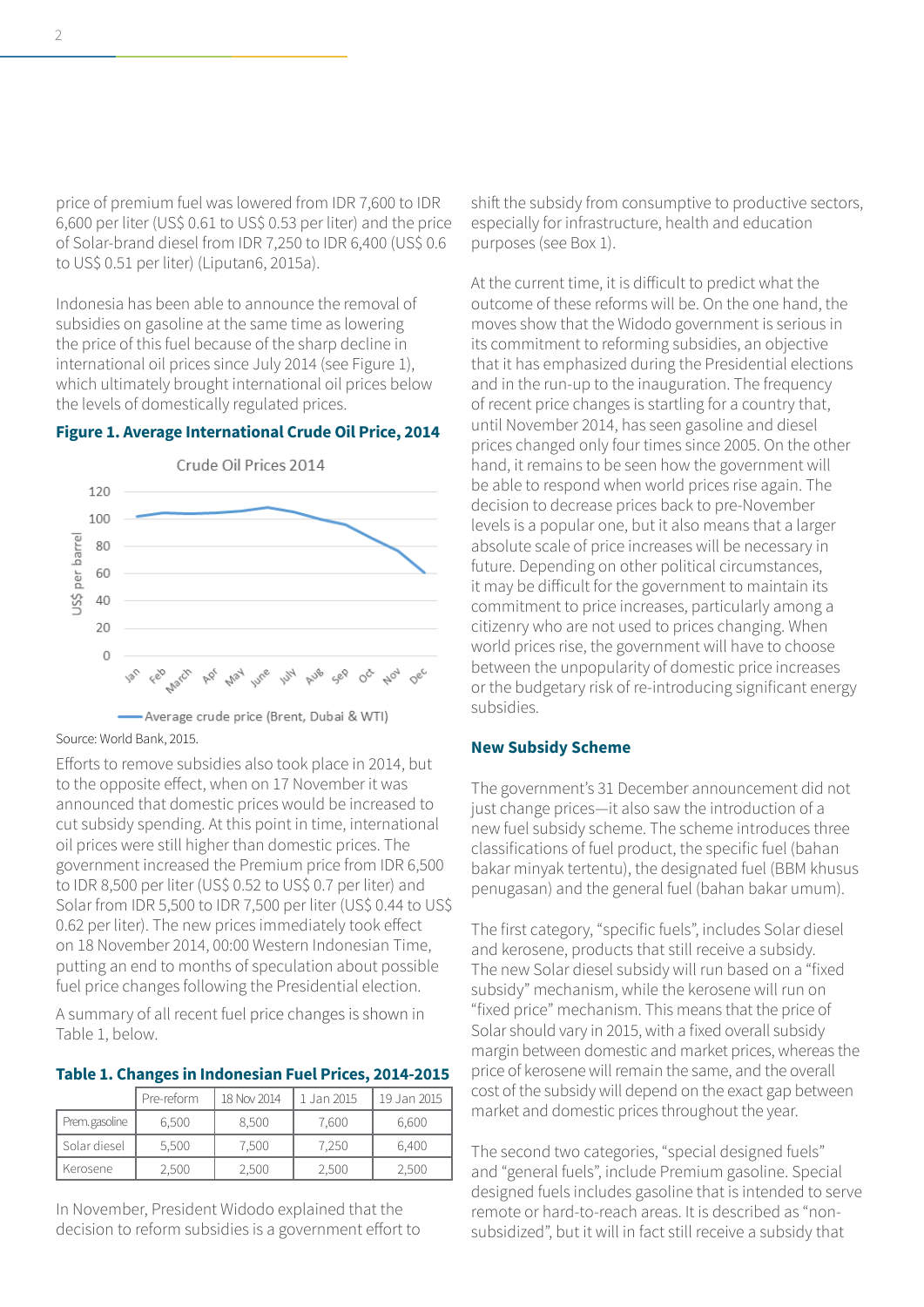price of premium fuel was lowered from IDR 7,600 to IDR 6,600 per liter (US\$ 0.61 to US\$ 0.53 per liter) and the price of Solar-brand diesel from IDR 7,250 to IDR 6,400 (US\$ 0.6 to US\$ 0.51 per liter) (Liputan6, 2015a).

Indonesia has been able to announce the removal of subsidies on gasoline at the same time as lowering the price of this fuel because of the sharp decline in international oil prices since July 2014 (see Figure 1), which ultimately brought international oil prices below the levels of domestically regulated prices.

### **Figure 1. Average International Crude Oil Price, 2014**



-Average crude price (Brent, Dubai & WTI)

Source: World Bank, 2015.

Efforts to remove subsidies also took place in 2014, but to the opposite effect, when on 17 November it was announced that domestic prices would be increased to cut subsidy spending. At this point in time, international oil prices were still higher than domestic prices. The government increased the Premium price from IDR 6,500 to IDR 8,500 per liter (US\$ 0.52 to US\$ 0.7 per liter) and Solar from IDR 5,500 to IDR 7,500 per liter (US\$ 0.44 to US\$ 0.62 per liter). The new prices immediately took effect on 18 November 2014, 00:00 Western Indonesian Time, putting an end to months of speculation about possible fuel price changes following the Presidential election.

A summary of all recent fuel price changes is shown in Table 1, below.

#### **Table 1. Changes in Indonesian Fuel Prices, 2014-2015**

|                | Pre-reform | 18 Nov 2014 | 1 Jan 2015 | 19 Jan 2015 |
|----------------|------------|-------------|------------|-------------|
| Prem. gasoline | 6.500      | 8.500       | 7.600      | 6,600       |
| Solar diesel   | 5.500      | 7,500       | 7.250      | 6.400       |
| Kerosene       | 2,500      | 2,500       | 2,500      | 2,500       |

In November, President Widodo explained that the decision to reform subsidies is a government effort to shift the subsidy from consumptive to productive sectors, especially for infrastructure, health and education purposes (see Box 1).

At the current time, it is difficult to predict what the outcome of these reforms will be. On the one hand, the moves show that the Widodo government is serious in its commitment to reforming subsidies, an objective that it has emphasized during the Presidential elections and in the run-up to the inauguration. The frequency of recent price changes is startling for a country that, until November 2014, has seen gasoline and diesel prices changed only four times since 2005. On the other hand, it remains to be seen how the government will be able to respond when world prices rise again. The decision to decrease prices back to pre-November levels is a popular one, but it also means that a larger absolute scale of price increases will be necessary in future. Depending on other political circumstances, it may be difficult for the government to maintain its commitment to price increases, particularly among a citizenry who are not used to prices changing. When world prices rise, the government will have to choose between the unpopularity of domestic price increases or the budgetary risk of re-introducing significant energy subsidies.

#### **New Subsidy Scheme**

The government's 31 December announcement did not just change prices―it also saw the introduction of a new fuel subsidy scheme. The scheme introduces three classifications of fuel product, the specific fuel (bahan bakar minyak tertentu), the designated fuel (BBM khusus penugasan) and the general fuel (bahan bakar umum).

The first category, "specific fuels", includes Solar diesel and kerosene, products that still receive a subsidy. The new Solar diesel subsidy will run based on a "fixed subsidy" mechanism, while the kerosene will run on "fixed price" mechanism. This means that the price of Solar should vary in 2015, with a fixed overall subsidy margin between domestic and market prices, whereas the price of kerosene will remain the same, and the overall cost of the subsidy will depend on the exact gap between market and domestic prices throughout the year.

The second two categories, "special designed fuels" and "general fuels", include Premium gasoline. Special designed fuels includes gasoline that is intended to serve remote or hard-to-reach areas. It is described as "nonsubsidized", but it will in fact still receive a subsidy that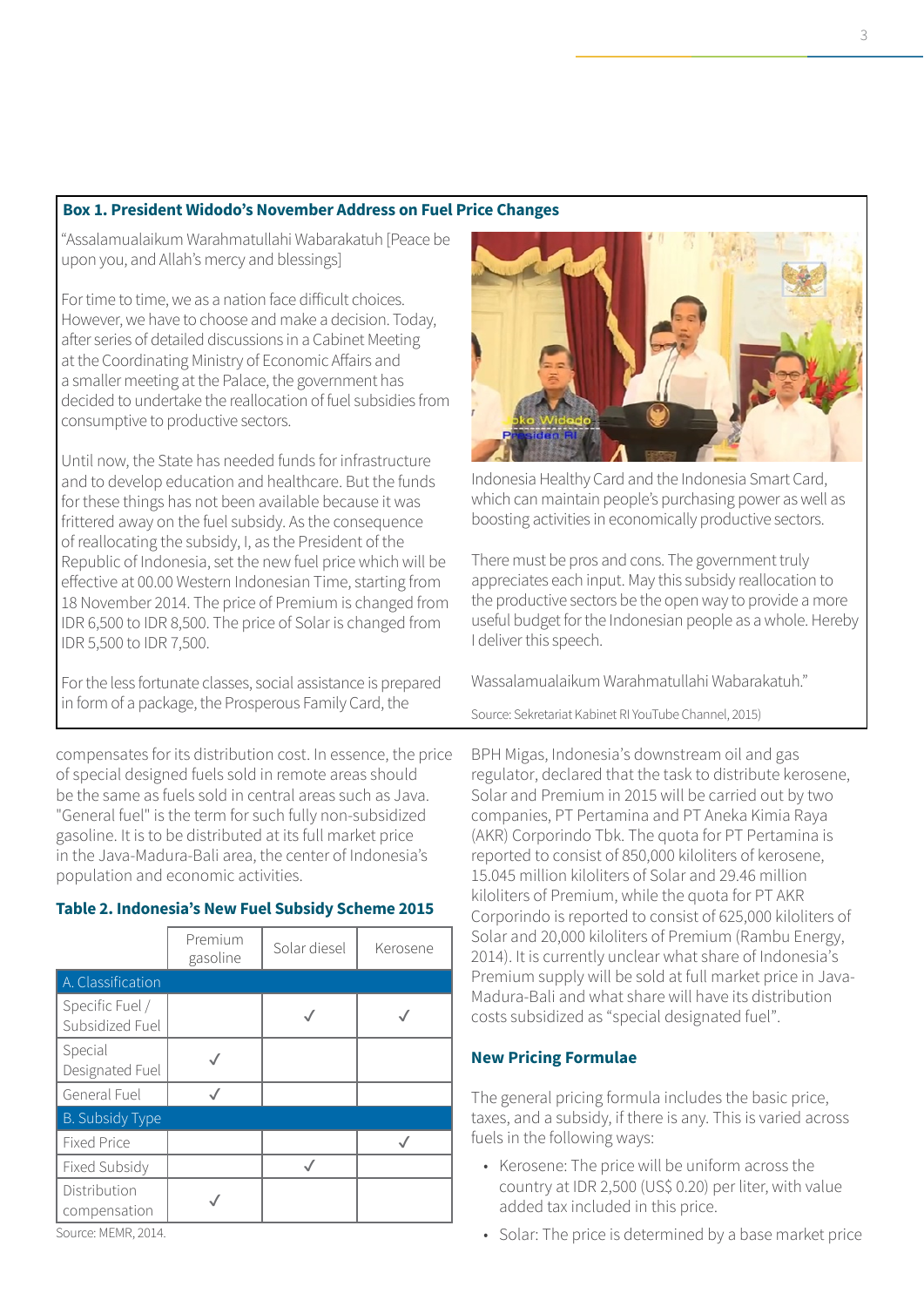# **Box 1. President Widodo's November Address on Fuel Price Changes**

"Assalamualaikum Warahmatullahi Wabarakatuh [Peace be upon you, and Allah's mercy and blessings]

For time to time, we as a nation face difficult choices. However, we have to choose and make a decision. Today, after series of detailed discussions in a Cabinet Meeting at the Coordinating Ministry of Economic Affairs and a smaller meeting at the Palace, the government has decided to undertake the reallocation of fuel subsidies from consumptive to productive sectors.

Until now, the State has needed funds for infrastructure and to develop education and healthcare. But the funds for these things has not been available because it was frittered away on the fuel subsidy. As the consequence of reallocating the subsidy, I, as the President of the Republic of Indonesia, set the new fuel price which will be effective at 00.00 Western Indonesian Time, starting from 18 November 2014. The price of Premium is changed from IDR 6,500 to IDR 8,500. The price of Solar is changed from IDR 5,500 to IDR 7,500.

For the less fortunate classes, social assistance is prepared in form of a package, the Prosperous Family Card, the

compensates for its distribution cost. In essence, the price of special designed fuels sold in remote areas should be the same as fuels sold in central areas such as Java. "General fuel" is the term for such fully non-subsidized gasoline. It is to be distributed at its full market price in the Java-Madura-Bali area, the center of Indonesia's population and economic activities.

|                                    | Premium<br>gasoline | Solar diesel | Kerosene |
|------------------------------------|---------------------|--------------|----------|
| A. Classification                  |                     |              |          |
| Specific Fuel /<br>Subsidized Fuel |                     |              |          |
| Special<br>Designated Fuel         |                     |              |          |
| General Fuel                       |                     |              |          |
| <b>B.</b> Subsidy Type             |                     |              |          |
| <b>Fixed Price</b>                 |                     |              |          |
| <b>Fixed Subsidy</b>               |                     |              |          |
| Distribution<br>compensation       |                     |              |          |

# **Table 2. Indonesia's New Fuel Subsidy Scheme 2015**





Indonesia Healthy Card and the Indonesia Smart Card, which can maintain people's purchasing power as well as boosting activities in economically productive sectors.

There must be pros and cons. The government truly appreciates each input. May this subsidy reallocation to the productive sectors be the open way to provide a more useful budget for the Indonesian people as a whole. Hereby I deliver this speech.

Wassalamualaikum Warahmatullahi Wabarakatuh."

Source: Sekretariat Kabinet RI YouTube Channel, 2015)

BPH Migas, Indonesia's downstream oil and gas regulator, declared that the task to distribute kerosene, Solar and Premium in 2015 will be carried out by two companies, PT Pertamina and PT Aneka Kimia Raya (AKR) Corporindo Tbk. The quota for PT Pertamina is reported to consist of 850,000 kiloliters of kerosene, 15.045 million kiloliters of Solar and 29.46 million kiloliters of Premium, while the quota for PT AKR Corporindo is reported to consist of 625,000 kiloliters of Solar and 20,000 kiloliters of Premium (Rambu Energy, 2014). It is currently unclear what share of Indonesia's Premium supply will be sold at full market price in Java-Madura-Bali and what share will have its distribution costs subsidized as "special designated fuel".

# **New Pricing Formulae**

The general pricing formula includes the basic price, taxes, and a subsidy, if there is any. This is varied across fuels in the following ways:

- Kerosene: The price will be uniform across the country at IDR 2,500 (US\$ 0.20) per liter, with value added tax included in this price.
- Solar: The price is determined by a base market price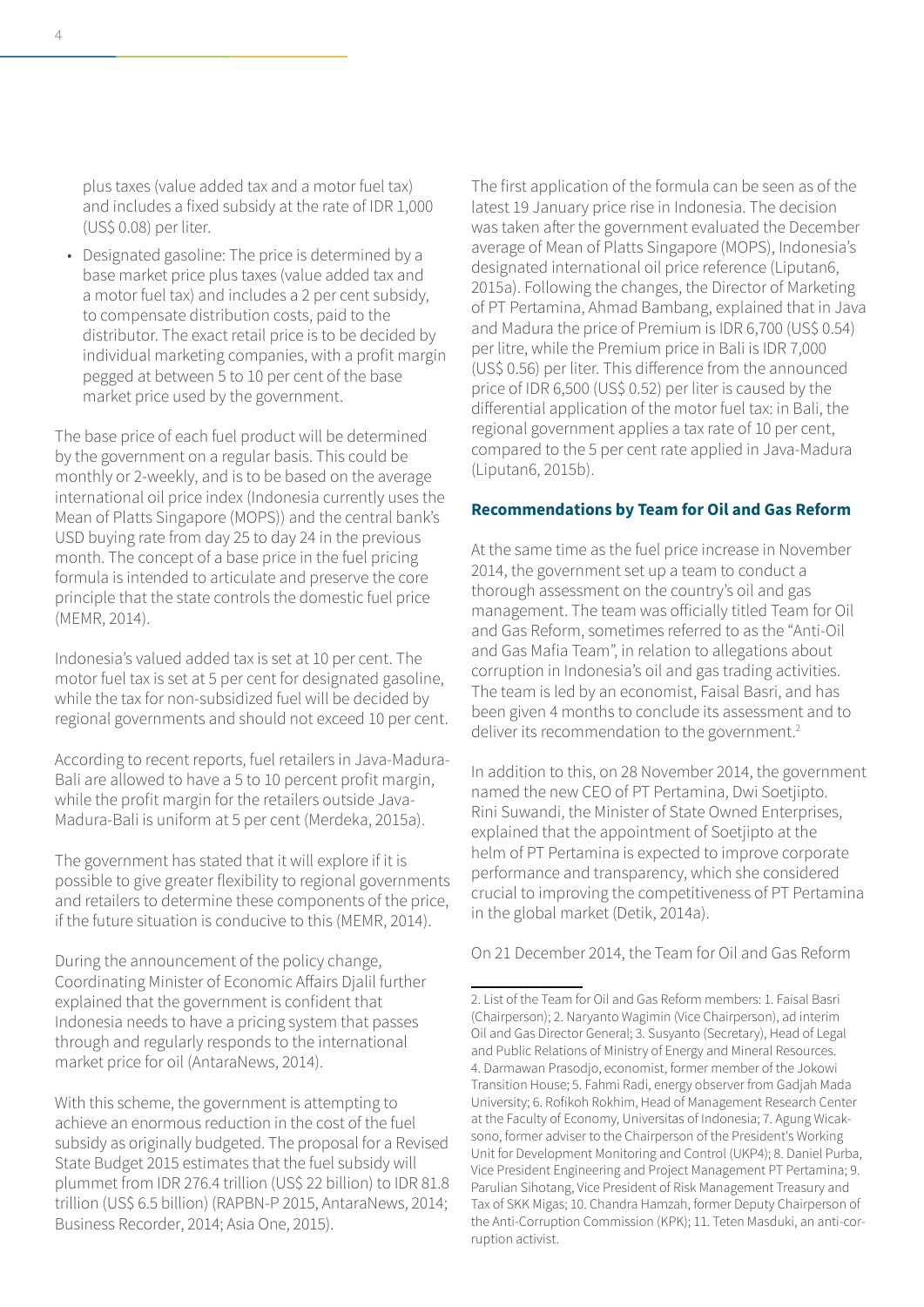plus taxes (value added tax and a motor fuel tax) and includes a fixed subsidy at the rate of IDR 1,000 (US\$ 0.08) per liter.

• Designated gasoline: The price is determined by a base market price plus taxes (value added tax and a motor fuel tax) and includes a 2 per cent subsidy, to compensate distribution costs, paid to the distributor. The exact retail price is to be decided by individual marketing companies, with a profit margin pegged at between 5 to 10 per cent of the base market price used by the government.

The base price of each fuel product will be determined by the government on a regular basis. This could be monthly or 2-weekly, and is to be based on the average international oil price index (Indonesia currently uses the Mean of Platts Singapore (MOPS)) and the central bank's USD buying rate from day 25 to day 24 in the previous month. The concept of a base price in the fuel pricing formula is intended to articulate and preserve the core principle that the state controls the domestic fuel price (MEMR, 2014).

Indonesia's valued added tax is set at 10 per cent. The motor fuel tax is set at 5 per cent for designated gasoline, while the tax for non-subsidized fuel will be decided by regional governments and should not exceed 10 per cent.

According to recent reports, fuel retailers in Java-Madura-Bali are allowed to have a 5 to 10 percent profit margin, while the profit margin for the retailers outside Java-Madura-Bali is uniform at 5 per cent (Merdeka, 2015a).

The government has stated that it will explore if it is possible to give greater flexibility to regional governments and retailers to determine these components of the price, if the future situation is conducive to this (MEMR, 2014).

During the announcement of the policy change, Coordinating Minister of Economic Affairs Djalil further explained that the government is confident that Indonesia needs to have a pricing system that passes through and regularly responds to the international market price for oil (AntaraNews, 2014).

With this scheme, the government is attempting to achieve an enormous reduction in the cost of the fuel subsidy as originally budgeted. The proposal for a Revised State Budget 2015 estimates that the fuel subsidy will plummet from IDR 276.4 trillion (US\$ 22 billion) to IDR 81.8 trillion (US\$ 6.5 billion) (RAPBN-P 2015, AntaraNews, 2014; Business Recorder, 2014; Asia One, 2015).

The first application of the formula can be seen as of the latest 19 January price rise in Indonesia. The decision was taken after the government evaluated the December average of Mean of Platts Singapore (MOPS), Indonesia's designated international oil price reference (Liputan6, 2015a). Following the changes, the Director of Marketing of PT Pertamina, Ahmad Bambang, explained that in Java and Madura the price of Premium is IDR 6,700 (US\$ 0.54) per litre, while the Premium price in Bali is IDR 7,000 (US\$ 0.56) per liter. This difference from the announced price of IDR 6,500 (US\$ 0.52) per liter is caused by the differential application of the motor fuel tax: in Bali, the regional government applies a tax rate of 10 per cent, compared to the 5 per cent rate applied in Java-Madura (Liputan6, 2015b).

#### **Recommendations by Team for Oil and Gas Reform**

At the same time as the fuel price increase in November 2014, the government set up a team to conduct a thorough assessment on the country's oil and gas management. The team was officially titled Team for Oil and Gas Reform, sometimes referred to as the "Anti-Oil and Gas Mafia Team", in relation to allegations about corruption in Indonesia's oil and gas trading activities. The team is led by an economist, Faisal Basri, and has been given 4 months to conclude its assessment and to deliver its recommendation to the government.<sup>2</sup>  $\overline{a}$ 

In addition to this, on 28 November 2014, the government named the new CEO of PT Pertamina, Dwi Soetjipto. Rini Suwandi, the Minister of State Owned Enterprises, explained that the appointment of Soetjipto at the helm of PT Pertamina is expected to improve corporate performance and transparency, which she considered crucial to improving the competitiveness of PT Pertamina in the global market (Detik, 2014a).

On 21 December 2014, the Team for Oil and Gas Reform

<sup>2.</sup> List of the Team for Oil and Gas Reform members: 1. Faisal Basri (Chairperson); 2. Naryanto Wagimin (Vice Chairperson), ad interim Oil and Gas Director General; 3. Susyanto (Secretary), Head of Legal and Public Relations of Ministry of Energy and Mineral Resources. 4. Darmawan Prasodjo, economist, former member of the Jokowi Transition House; 5. Fahmi Radi, energy observer from Gadjah Mada University; 6. Rofikoh Rokhim, Head of Management Research Center at the Faculty of Economy, Universitas of Indonesia; 7. Agung Wicaksono, former adviser to the Chairperson of the President's Working Unit for Development Monitoring and Control (UKP4); 8. Daniel Purba, Vice President Engineering and Project Management PT Pertamina; 9. Parulian Sihotang, Vice President of Risk Management Treasury and Tax of SKK Migas; 10. Chandra Hamzah, former Deputy Chairperson of the Anti-Corruption Commission (KPK); 11. Teten Masduki, an anti-corruption activist.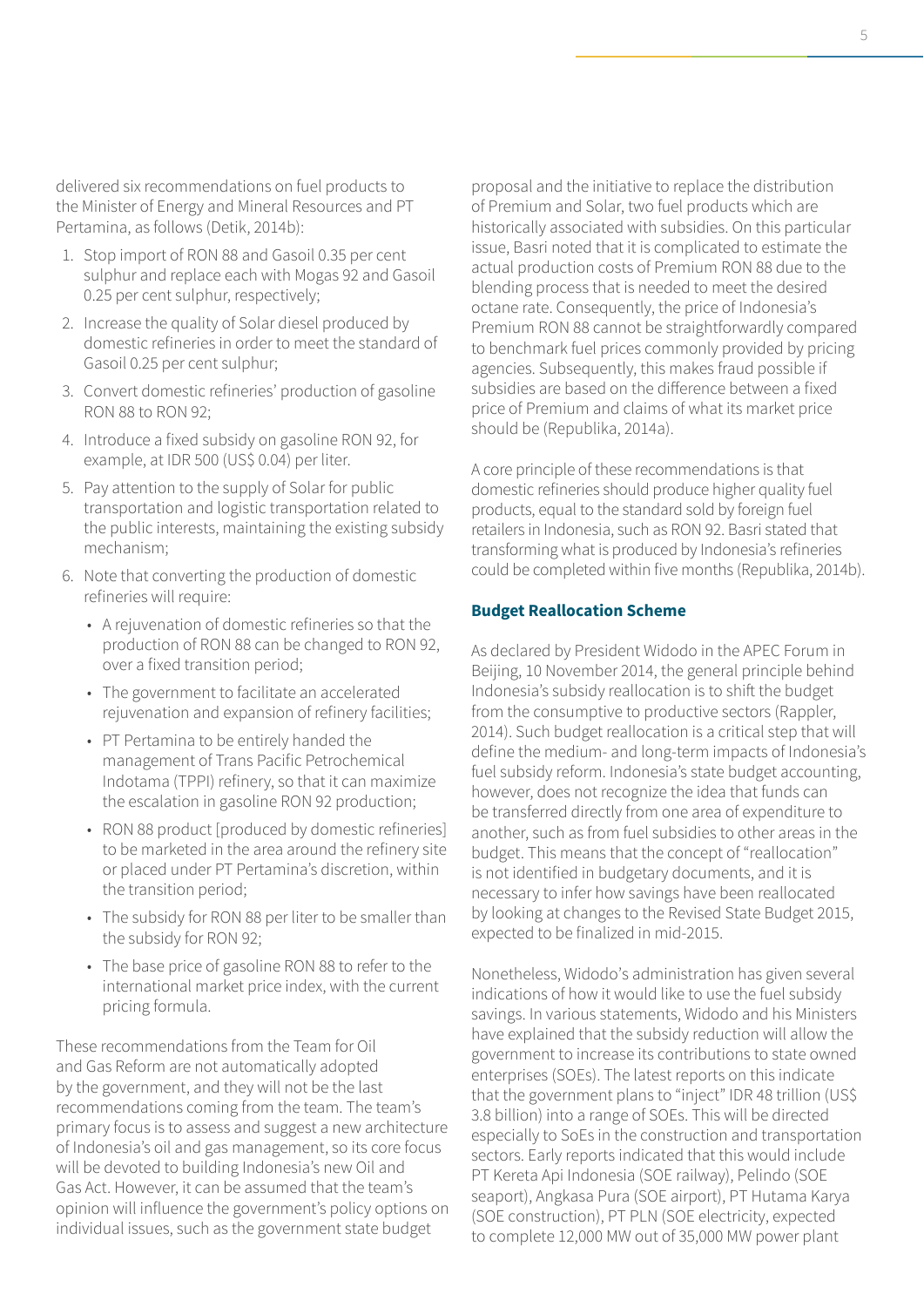delivered six recommendations on fuel products to the Minister of Energy and Mineral Resources and PT Pertamina, as follows (Detik, 2014b):

- 1. Stop import of RON 88 and Gasoil 0.35 per cent sulphur and replace each with Mogas 92 and Gasoil 0.25 per cent sulphur, respectively;
- 2. Increase the quality of Solar diesel produced by domestic refineries in order to meet the standard of Gasoil 0.25 per cent sulphur;
- 3. Convert domestic refineries' production of gasoline RON 88 to RON 92;
- 4. Introduce a fixed subsidy on gasoline RON 92, for example, at IDR 500 (US\$ 0.04) per liter.
- 5. Pay attention to the supply of Solar for public transportation and logistic transportation related to the public interests, maintaining the existing subsidy mechanism;
- 6. Note that converting the production of domestic refineries will require:
	- A rejuvenation of domestic refineries so that the production of RON 88 can be changed to RON 92, over a fixed transition period;
	- The government to facilitate an accelerated rejuvenation and expansion of refinery facilities;
	- PT Pertamina to be entirely handed the management of Trans Pacific Petrochemical Indotama (TPPI) refinery, so that it can maximize the escalation in gasoline RON 92 production;
	- RON 88 product [produced by domestic refineries] to be marketed in the area around the refinery site or placed under PT Pertamina's discretion, within the transition period;
	- The subsidy for RON 88 per liter to be smaller than the subsidy for RON 92;
	- The base price of gasoline RON 88 to refer to the international market price index, with the current pricing formula.

These recommendations from the Team for Oil and Gas Reform are not automatically adopted by the government, and they will not be the last recommendations coming from the team. The team's primary focus is to assess and suggest a new architecture of Indonesia's oil and gas management, so its core focus will be devoted to building Indonesia's new Oil and Gas Act. However, it can be assumed that the team's opinion will influence the government's policy options on individual issues, such as the government state budget

proposal and the initiative to replace the distribution of Premium and Solar, two fuel products which are historically associated with subsidies. On this particular issue, Basri noted that it is complicated to estimate the actual production costs of Premium RON 88 due to the blending process that is needed to meet the desired octane rate. Consequently, the price of Indonesia's Premium RON 88 cannot be straightforwardly compared to benchmark fuel prices commonly provided by pricing agencies. Subsequently, this makes fraud possible if subsidies are based on the difference between a fixed price of Premium and claims of what its market price should be (Republika, 2014a).

A core principle of these recommendations is that domestic refineries should produce higher quality fuel products, equal to the standard sold by foreign fuel retailers in Indonesia, such as RON 92. Basri stated that transforming what is produced by Indonesia's refineries could be completed within five months (Republika, 2014b).

#### **Budget Reallocation Scheme**

As declared by President Widodo in the APEC Forum in Beijing, 10 November 2014, the general principle behind Indonesia's subsidy reallocation is to shift the budget from the consumptive to productive sectors (Rappler, 2014). Such budget reallocation is a critical step that will define the medium- and long-term impacts of Indonesia's fuel subsidy reform. Indonesia's state budget accounting, however, does not recognize the idea that funds can be transferred directly from one area of expenditure to another, such as from fuel subsidies to other areas in the budget. This means that the concept of "reallocation" is not identified in budgetary documents, and it is necessary to infer how savings have been reallocated by looking at changes to the Revised State Budget 2015, expected to be finalized in mid-2015.

Nonetheless, Widodo's administration has given several indications of how it would like to use the fuel subsidy savings. In various statements, Widodo and his Ministers have explained that the subsidy reduction will allow the government to increase its contributions to state owned enterprises (SOEs). The latest reports on this indicate that the government plans to "inject" IDR 48 trillion (US\$ 3.8 billion) into a range of SOEs. This will be directed especially to SoEs in the construction and transportation sectors. Early reports indicated that this would include PT Kereta Api Indonesia (SOE railway), Pelindo (SOE seaport), Angkasa Pura (SOE airport), PT Hutama Karya (SOE construction), PT PLN (SOE electricity, expected to complete 12,000 MW out of 35,000 MW power plant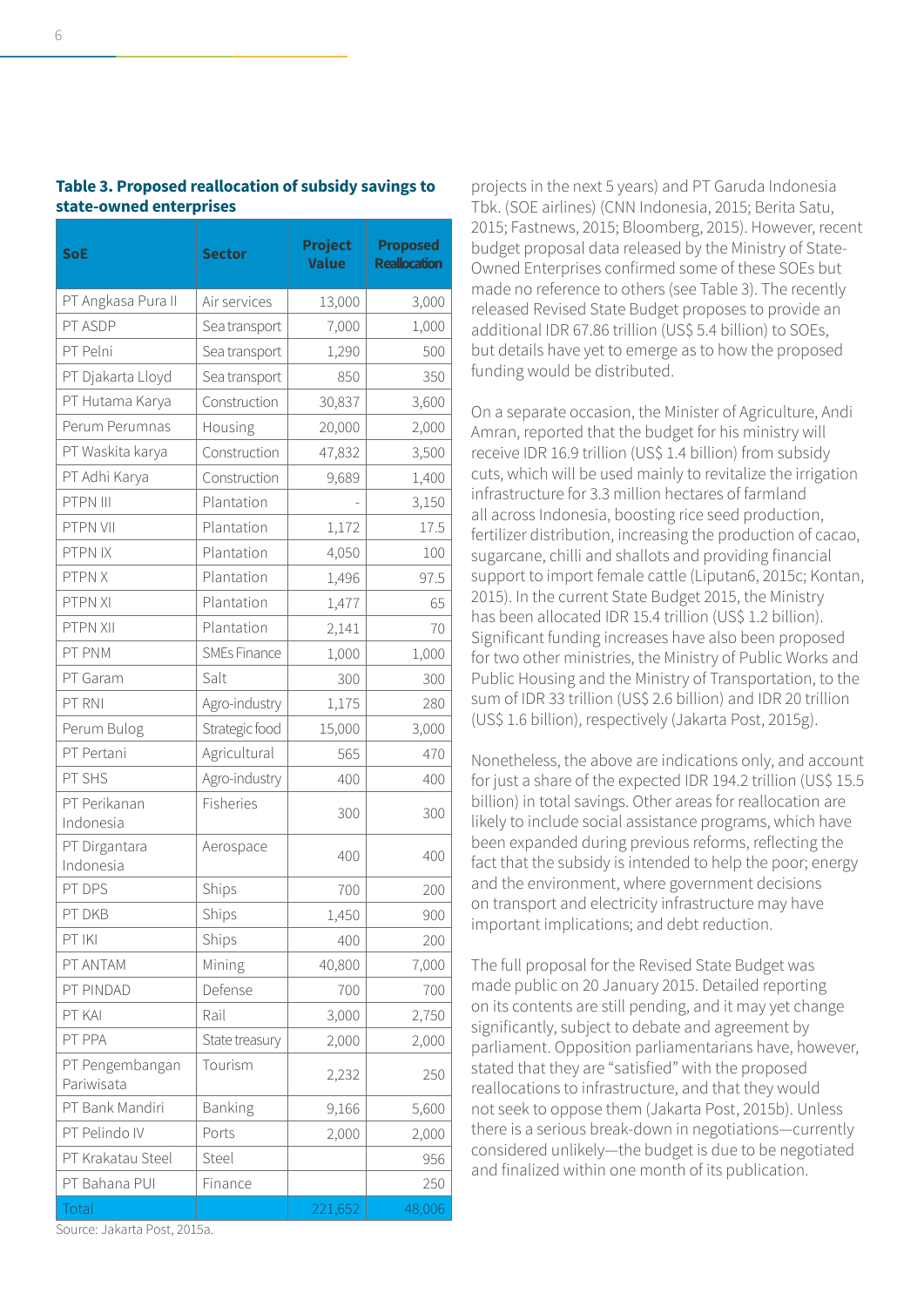| <b>SoE</b>                    | <b>Sector</b>       | <b>Project</b><br><b>Value</b> | <b>Proposed</b><br><b>Reallocation</b> |  |
|-------------------------------|---------------------|--------------------------------|----------------------------------------|--|
| PT Angkasa Pura II            | Air services        | 13,000                         | 3,000                                  |  |
| PT ASDP                       | Sea transport       | 7,000                          | 1,000                                  |  |
| PT Pelni                      | Sea transport       | 1,290                          | 500                                    |  |
| PT Djakarta Lloyd             | Sea transport       | 850                            | 350                                    |  |
| PT Hutama Karya               | Construction        | 30,837                         | 3,600                                  |  |
| Perum Perumnas                | Housing             | 20,000                         | 2,000                                  |  |
| PT Waskita karya              | Construction        | 47,832                         | 3,500                                  |  |
| PT Adhi Karya                 | Construction        | 9,689                          | 1,400                                  |  |
| PTPN III                      | Plantation          |                                | 3,150                                  |  |
| PTPN VII                      | Plantation          | 1,172                          | 17.5                                   |  |
| PTPN IX                       | Plantation          | 4,050                          | 100                                    |  |
| PTPN X                        | Plantation          | 1,496                          | 97.5                                   |  |
| PTPN XI                       | Plantation          | 1,477                          | 65                                     |  |
| PTPN XII                      | Plantation          | 2,141                          | 70                                     |  |
| PT PNM                        | <b>SMEs Finance</b> | 1,000                          | 1,000                                  |  |
| PT Garam                      | Salt                | 300                            | 300                                    |  |
| PT RNI                        | Agro-industry       | 1,175                          | 280                                    |  |
| Perum Bulog                   | Strategic food      | 15,000                         | 3,000                                  |  |
| PT Pertani                    | Agricultural        | 565                            | 470                                    |  |
| PT SHS                        | Agro-industry       | 400                            | 400                                    |  |
| PT Perikanan<br>Indonesia     | Fisheries           | 300                            | 300                                    |  |
| PT Dirgantara<br>Indonesia    | Aerospace           | 400                            | 400                                    |  |
| PT DPS                        | Ships               | 700                            | 200                                    |  |
| PT DKB                        | Ships               | 1,450                          | 900                                    |  |
| PT IKI                        | Ships               | 400                            | 200                                    |  |
| PT ANTAM                      | Mining              | 40,800                         | 7,000                                  |  |
| PT PINDAD                     | Defense             | 700                            | 700                                    |  |
| PT KAI                        | Rail                | 3,000                          | 2,750                                  |  |
| PT PPA                        | State treasury      | 2,000                          | 2,000                                  |  |
| PT Pengembangan<br>Pariwisata | Tourism             | 2,232                          | 250                                    |  |
| PT Bank Mandiri               | Banking             | 9,166                          | 5,600                                  |  |
| PT Pelindo IV                 | Ports               | 2,000                          | 2,000                                  |  |
| PT Krakatau Steel             | Steel               |                                | 956                                    |  |
| PT Bahana PUI                 | Finance             |                                | 250                                    |  |
| Total                         |                     | 221,652                        | 48,006                                 |  |

**Table 3. Proposed reallocation of subsidy savings to state-owned enterprises**

projects in the next 5 years) and PT Garuda Indonesia Tbk. (SOE airlines) (CNN Indonesia, 2015; Berita Satu, 2015; Fastnews, 2015; Bloomberg, 2015). However, recent budget proposal data released by the Ministry of State-Owned Enterprises confirmed some of these SOEs but made no reference to others (see Table 3). The recently released Revised State Budget proposes to provide an additional IDR 67.86 trillion (US\$ 5.4 billion) to SOEs, but details have yet to emerge as to how the proposed funding would be distributed.

On a separate occasion, the Minister of Agriculture, Andi Amran, reported that the budget for his ministry will receive IDR 16.9 trillion (US\$ 1.4 billion) from subsidy cuts, which will be used mainly to revitalize the irrigation infrastructure for 3.3 million hectares of farmland all across Indonesia, boosting rice seed production, fertilizer distribution, increasing the production of cacao, sugarcane, chilli and shallots and providing financial support to import female cattle (Liputan6, 2015c; Kontan, 2015). In the current State Budget 2015, the Ministry has been allocated IDR 15.4 trillion (US\$ 1.2 billion). Significant funding increases have also been proposed for two other ministries, the Ministry of Public Works and Public Housing and the Ministry of Transportation, to the sum of IDR 33 trillion (US\$ 2.6 billion) and IDR 20 trillion (US\$ 1.6 billion), respectively (Jakarta Post, 2015g).

Nonetheless, the above are indications only, and account for just a share of the expected IDR 194.2 trillion (US\$ 15.5 billion) in total savings. Other areas for reallocation are likely to include social assistance programs, which have been expanded during previous reforms, reflecting the fact that the subsidy is intended to help the poor; energy and the environment, where government decisions on transport and electricity infrastructure may have important implications; and debt reduction.

The full proposal for the Revised State Budget was made public on 20 January 2015. Detailed reporting on its contents are still pending, and it may yet change significantly, subject to debate and agreement by parliament. Opposition parliamentarians have, however, stated that they are "satisfied" with the proposed reallocations to infrastructure, and that they would not seek to oppose them (Jakarta Post, 2015b). Unless there is a serious break-down in negotiations―currently considered unlikely―the budget is due to be negotiated and finalized within one month of its publication.

Source: Jakarta Post, 2015a.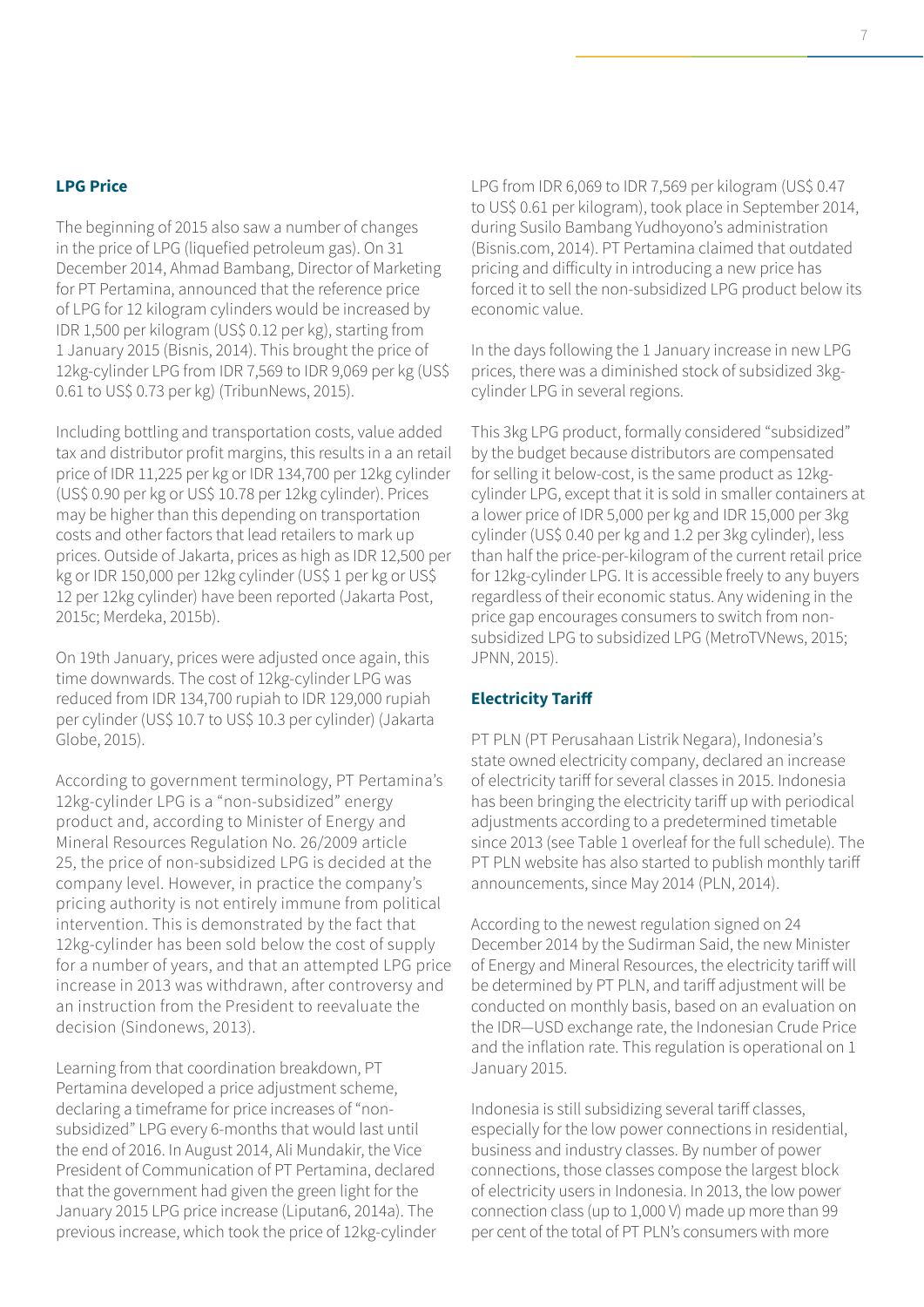#### **LPG Price**

The beginning of 2015 also saw a number of changes in the price of LPG (liquefied petroleum gas). On 31 December 2014, Ahmad Bambang, Director of Marketing for PT Pertamina, announced that the reference price of LPG for 12 kilogram cylinders would be increased by IDR 1,500 per kilogram (US\$ 0.12 per kg), starting from 1 January 2015 (Bisnis, 2014). This brought the price of 12kg-cylinder LPG from IDR 7,569 to IDR 9,069 per kg (US\$ 0.61 to US\$ 0.73 per kg) (TribunNews, 2015).

Including bottling and transportation costs, value added tax and distributor profit margins, this results in a an retail price of IDR 11,225 per kg or IDR 134,700 per 12kg cylinder (US\$ 0.90 per kg or US\$ 10.78 per 12kg cylinder). Prices may be higher than this depending on transportation costs and other factors that lead retailers to mark up prices. Outside of Jakarta, prices as high as IDR 12,500 per kg or IDR 150,000 per 12kg cylinder (US\$ 1 per kg or US\$ 12 per 12kg cylinder) have been reported (Jakarta Post, 2015c; Merdeka, 2015b).

On 19th January, prices were adjusted once again, this time downwards. The cost of 12kg-cylinder LPG was reduced from IDR 134,700 rupiah to IDR 129,000 rupiah per cylinder (US\$ 10.7 to US\$ 10.3 per cylinder) (Jakarta Globe, 2015).

According to government terminology, PT Pertamina's 12kg-cylinder LPG is a "non-subsidized" energy product and, according to Minister of Energy and Mineral Resources Regulation No. 26/2009 article 25, the price of non-subsidized LPG is decided at the company level. However, in practice the company's pricing authority is not entirely immune from political intervention. This is demonstrated by the fact that 12kg-cylinder has been sold below the cost of supply for a number of years, and that an attempted LPG price increase in 2013 was withdrawn, after controversy and an instruction from the President to reevaluate the decision (Sindonews, 2013).

Learning from that coordination breakdown, PT Pertamina developed a price adjustment scheme, declaring a timeframe for price increases of "nonsubsidized" LPG every 6-months that would last until the end of 2016. In August 2014, Ali Mundakir, the Vice President of Communication of PT Pertamina, declared that the government had given the green light for the January 2015 LPG price increase (Liputan6, 2014a). The previous increase, which took the price of 12kg-cylinder LPG from IDR 6,069 to IDR 7,569 per kilogram (US\$ 0.47 to US\$ 0.61 per kilogram), took place in September 2014, during Susilo Bambang Yudhoyono's administration (Bisnis.com, 2014). PT Pertamina claimed that outdated pricing and difficulty in introducing a new price has forced it to sell the non-subsidized LPG product below its economic value.

In the days following the 1 January increase in new LPG prices, there was a diminished stock of subsidized 3kgcylinder LPG in several regions.

This 3kg LPG product, formally considered "subsidized" by the budget because distributors are compensated for selling it below-cost, is the same product as 12kgcylinder LPG, except that it is sold in smaller containers at a lower price of IDR 5,000 per kg and IDR 15,000 per 3kg cylinder (US\$ 0.40 per kg and 1.2 per 3kg cylinder), less than half the price-per-kilogram of the current retail price for 12kg-cylinder LPG. It is accessible freely to any buyers regardless of their economic status. Any widening in the price gap encourages consumers to switch from nonsubsidized LPG to subsidized LPG (MetroTVNews, 2015; JPNN, 2015).

### **Electricity Tariff**

PT PLN (PT Perusahaan Listrik Negara), Indonesia's state owned electricity company, declared an increase of electricity tariff for several classes in 2015. Indonesia has been bringing the electricity tariff up with periodical adjustments according to a predetermined timetable since 2013 (see Table 1 overleaf for the full schedule). The PT PLN website has also started to publish monthly tariff announcements, since May 2014 (PLN, 2014).

According to the newest regulation signed on 24 December 2014 by the Sudirman Said, the new Minister of Energy and Mineral Resources, the electricity tariff will be determined by PT PLN, and tariff adjustment will be conducted on monthly basis, based on an evaluation on the IDR―USD exchange rate, the Indonesian Crude Price and the inflation rate. This regulation is operational on 1 January 2015.

Indonesia is still subsidizing several tariff classes, especially for the low power connections in residential, business and industry classes. By number of power connections, those classes compose the largest block of electricity users in Indonesia. In 2013, the low power connection class (up to 1,000 V) made up more than 99 per cent of the total of PT PLN's consumers with more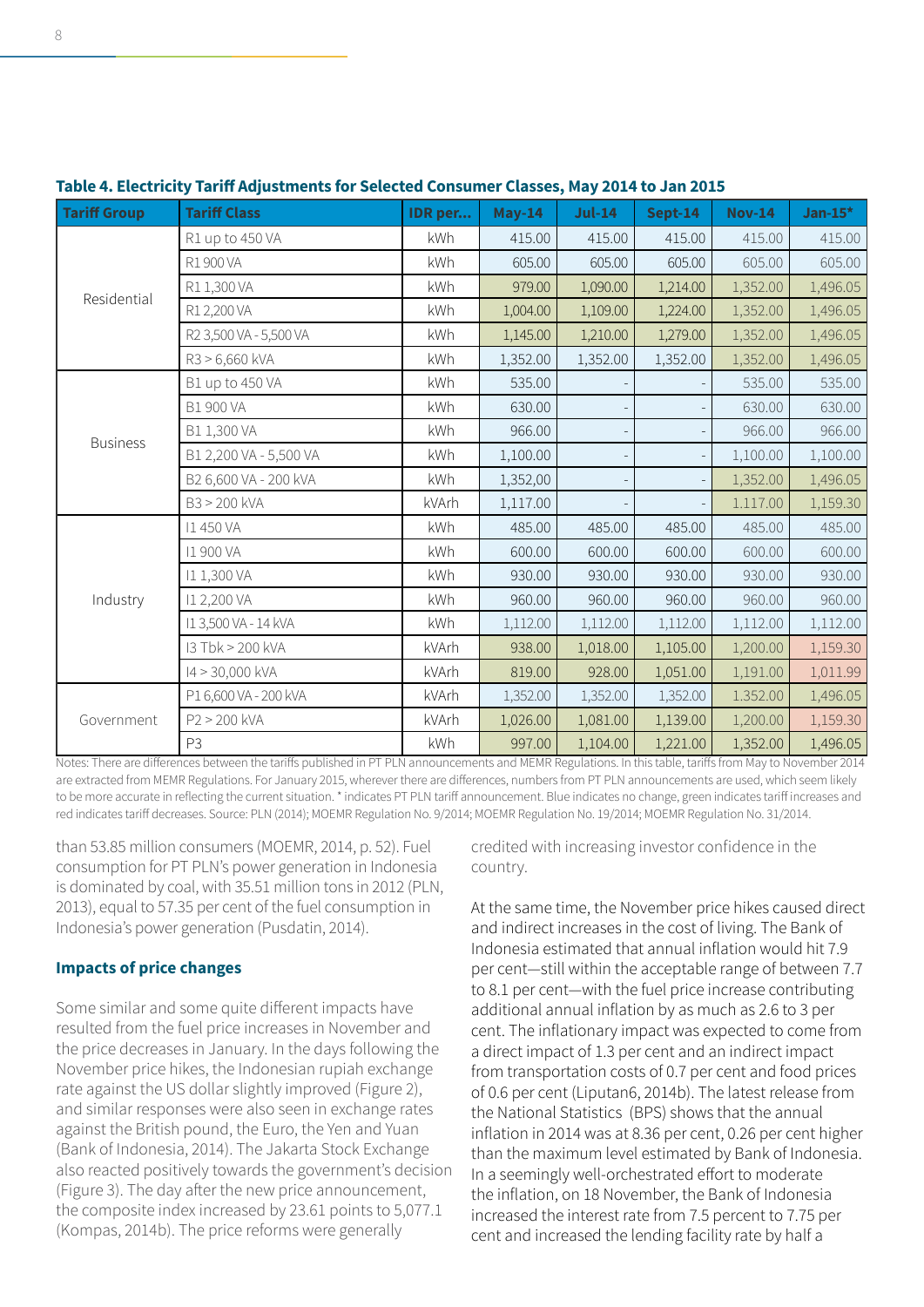| <b>Tariff Group</b> | <b>Tariff Class</b>    | IDR per | $May-14$ | $Jul-14$ | Sept-14  | <b>Nov-14</b> | Jan-15 $*$ |
|---------------------|------------------------|---------|----------|----------|----------|---------------|------------|
| Residential         | R1 up to 450 VA        | kWh     | 415.00   | 415.00   | 415.00   | 415.00        | 415.00     |
|                     | R1900VA                | kWh     | 605.00   | 605.00   | 605.00   | 605.00        | 605.00     |
|                     | R1 1,300 VA            | kWh     | 979.00   | 1,090.00 | 1,214.00 | 1,352.00      | 1,496.05   |
|                     | R1 2,200 VA            | kWh     | 1,004.00 | 1,109.00 | 1,224.00 | 1,352.00      | 1,496.05   |
|                     | R2 3,500 VA - 5,500 VA | kWh     | 1,145.00 | 1,210.00 | 1,279.00 | 1,352.00      | 1,496.05   |
|                     | R3 > 6,660 kVA         | kWh     | 1,352.00 | 1,352.00 | 1,352.00 | 1,352.00      | 1,496.05   |
|                     | B1 up to 450 VA        | kWh     | 535.00   |          |          | 535.00        | 535.00     |
|                     | <b>B1 900 VA</b>       | kWh     | 630.00   |          |          | 630.00        | 630.00     |
| <b>Business</b>     | B1 1,300 VA            | kWh     | 966.00   |          |          | 966.00        | 966.00     |
|                     | B1 2,200 VA - 5,500 VA | kWh     | 1,100.00 |          |          | 1,100.00      | 1,100.00   |
|                     | B2 6,600 VA - 200 kVA  | kWh     | 1,352,00 |          |          | 1,352.00      | 1,496.05   |
|                     | B3 > 200 kVA           | kVArh   | 1,117.00 |          |          | 1.117.00      | 1,159.30   |
| Industry            | <b>I1450 VA</b>        | kWh     | 485.00   | 485.00   | 485.00   | 485.00        | 485.00     |
|                     | <b>11 900 VA</b>       | kWh     | 600.00   | 600.00   | 600.00   | 600.00        | 600.00     |
|                     | I1 1,300 VA            | kWh     | 930.00   | 930.00   | 930.00   | 930.00        | 930.00     |
|                     | I1 2,200 VA            | kWh     | 960.00   | 960.00   | 960.00   | 960.00        | 960.00     |
|                     | I13,500 VA - 14 kVA    | kWh     | 1,112.00 | 1,112.00 | 1,112.00 | 1,112.00      | 1,112.00   |
|                     | 13 Tbk > 200 kVA       | kVArh   | 938.00   | 1,018.00 | 1,105.00 | 1,200.00      | 1,159.30   |
|                     | I4 > 30,000 kVA        | kVArh   | 819.00   | 928.00   | 1,051.00 | 1,191.00      | 1,011.99   |
| Government          | P1 6,600 VA - 200 kVA  | kVArh   | 1,352.00 | 1,352.00 | 1,352.00 | 1.352.00      | 1,496.05   |
|                     | P2 > 200 kVA           | kVArh   | 1,026.00 | 1,081.00 | 1,139.00 | 1,200.00      | 1,159.30   |
|                     | P <sub>3</sub>         | kWh     | 997.00   | 1,104.00 | 1,221.00 | 1,352.00      | 1,496.05   |

# **Table 4. Electricity Tariff Adjustments for Selected Consumer Classes, May 2014 to Jan 2015**

Notes: There are differences between the tariffs published in PT PLN announcements and MEMR Regulations. In this table, tariffs from May to November 2014 are extracted from MEMR Regulations. For January 2015, wherever there are differences, numbers from PT PLN announcements are used, which seem likely to be more accurate in reflecting the current situation. \* indicates PT PLN tariff announcement. Blue indicates no change, green indicates tariff increases and red indicates tariff decreases. Source: PLN (2014); MOEMR Regulation No. 9/2014; MOEMR Regulation No. 19/2014; MOEMR Regulation No. 31/2014.

than 53.85 million consumers (MOEMR, 2014, p. 52). Fuel consumption for PT PLN's power generation in Indonesia is dominated by coal, with 35.51 million tons in 2012 (PLN, 2013), equal to 57.35 per cent of the fuel consumption in Indonesia's power generation (Pusdatin, 2014).

# **Impacts of price changes**

Some similar and some quite different impacts have resulted from the fuel price increases in November and the price decreases in January. In the days following the November price hikes, the Indonesian rupiah exchange rate against the US dollar slightly improved (Figure 2), and similar responses were also seen in exchange rates against the British pound, the Euro, the Yen and Yuan (Bank of Indonesia, 2014). The Jakarta Stock Exchange also reacted positively towards the government's decision (Figure 3). The day after the new price announcement, the composite index increased by 23.61 points to 5,077.1 (Kompas, 2014b). The price reforms were generally

credited with increasing investor confidence in the country.

At the same time, the November price hikes caused direct and indirect increases in the cost of living. The Bank of Indonesia estimated that annual inflation would hit 7.9 per cent―still within the acceptable range of between 7.7 to 8.1 per cent―with the fuel price increase contributing additional annual inflation by as much as 2.6 to 3 per cent. The inflationary impact was expected to come from a direct impact of 1.3 per cent and an indirect impact from transportation costs of 0.7 per cent and food prices of 0.6 per cent (Liputan6, 2014b). The latest release from the National Statistics (BPS) shows that the annual inflation in 2014 was at 8.36 per cent, 0.26 per cent higher than the maximum level estimated by Bank of Indonesia. In a seemingly well-orchestrated effort to moderate the inflation, on 18 November, the Bank of Indonesia increased the interest rate from 7.5 percent to 7.75 per cent and increased the lending facility rate by half a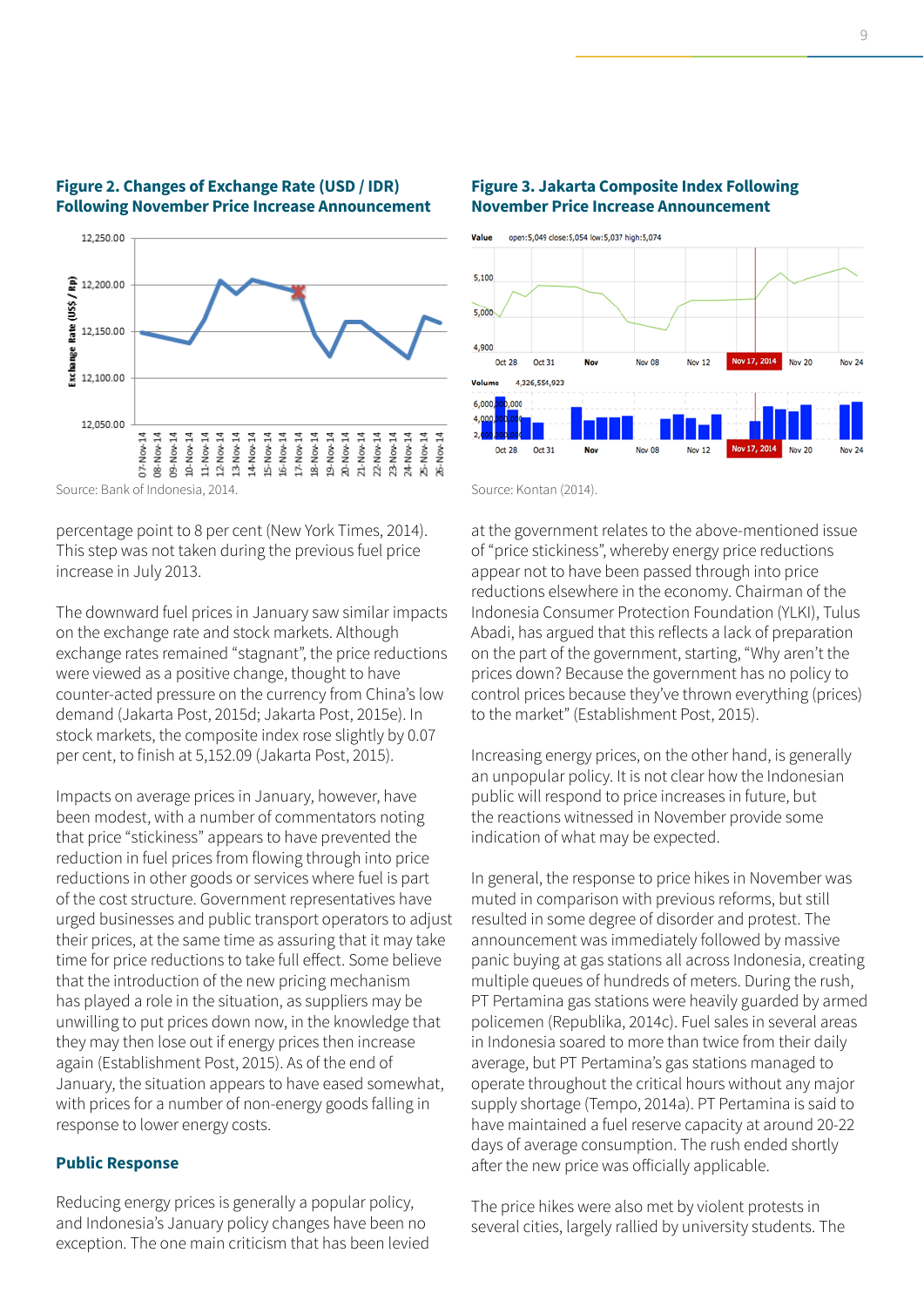



Source: Bank of Indonesia, 2014.

percentage point to 8 per cent (New York Times, 2014). This step was not taken during the previous fuel price increase in July 2013.

The downward fuel prices in January saw similar impacts on the exchange rate and stock markets. Although exchange rates remained "stagnant", the price reductions were viewed as a positive change, thought to have counter-acted pressure on the currency from China's low demand (Jakarta Post, 2015d; Jakarta Post, 2015e). In stock markets, the composite index rose slightly by 0.07 per cent, to finish at 5,152.09 (Jakarta Post, 2015).

Impacts on average prices in January, however, have been modest, with a number of commentators noting that price "stickiness" appears to have prevented the reduction in fuel prices from flowing through into price reductions in other goods or services where fuel is part of the cost structure. Government representatives have urged businesses and public transport operators to adjust their prices, at the same time as assuring that it may take time for price reductions to take full effect. Some believe that the introduction of the new pricing mechanism has played a role in the situation, as suppliers may be unwilling to put prices down now, in the knowledge that they may then lose out if energy prices then increase again (Establishment Post, 2015). As of the end of January, the situation appears to have eased somewhat, with prices for a number of non-energy goods falling in response to lower energy costs.

#### **Public Response**

Reducing energy prices is generally a popular policy, and Indonesia's January policy changes have been no exception. The one main criticism that has been levied





Source: Kontan (2014).

at the government relates to the above-mentioned issue of "price stickiness", whereby energy price reductions appear not to have been passed through into price reductions elsewhere in the economy. Chairman of the Indonesia Consumer Protection Foundation (YLKI), Tulus Abadi, has argued that this reflects a lack of preparation on the part of the government, starting, "Why aren't the prices down? Because the government has no policy to control prices because they've thrown everything (prices) to the market" (Establishment Post, 2015).

Increasing energy prices, on the other hand, is generally an unpopular policy. It is not clear how the Indonesian public will respond to price increases in future, but the reactions witnessed in November provide some indication of what may be expected.

In general, the response to price hikes in November was muted in comparison with previous reforms, but still resulted in some degree of disorder and protest. The announcement was immediately followed by massive panic buying at gas stations all across Indonesia, creating multiple queues of hundreds of meters. During the rush, PT Pertamina gas stations were heavily guarded by armed policemen (Republika, 2014c). Fuel sales in several areas in Indonesia soared to more than twice from their daily average, but PT Pertamina's gas stations managed to operate throughout the critical hours without any major supply shortage (Tempo, 2014a). PT Pertamina is said to have maintained a fuel reserve capacity at around 20-22 days of average consumption. The rush ended shortly after the new price was officially applicable.

The price hikes were also met by violent protests in several cities, largely rallied by university students. The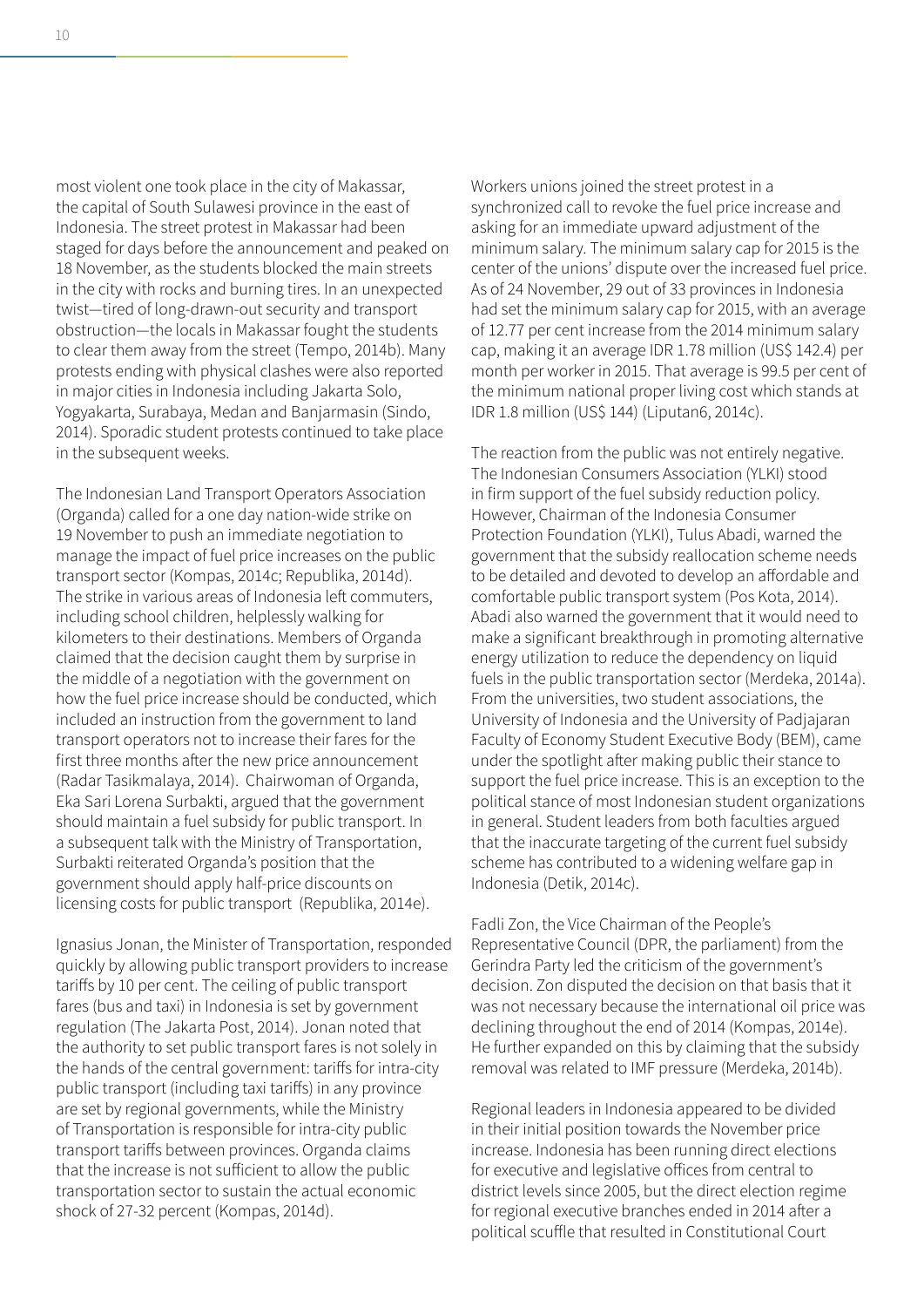most violent one took place in the city of Makassar, the capital of South Sulawesi province in the east of Indonesia. The street protest in Makassar had been staged for days before the announcement and peaked on 18 November, as the students blocked the main streets in the city with rocks and burning tires. In an unexpected twist―tired of long-drawn-out security and transport obstruction―the locals in Makassar fought the students to clear them away from the street (Tempo, 2014b). Many protests ending with physical clashes were also reported in major cities in Indonesia including Jakarta Solo, Yogyakarta, Surabaya, Medan and Banjarmasin (Sindo, 2014). Sporadic student protests continued to take place in the subsequent weeks.

The Indonesian Land Transport Operators Association (Organda) called for a one day nation-wide strike on 19 November to push an immediate negotiation to manage the impact of fuel price increases on the public transport sector (Kompas, 2014c; Republika, 2014d). The strike in various areas of Indonesia left commuters, including school children, helplessly walking for kilometers to their destinations. Members of Organda claimed that the decision caught them by surprise in the middle of a negotiation with the government on how the fuel price increase should be conducted, which included an instruction from the government to land transport operators not to increase their fares for the first three months after the new price announcement (Radar Tasikmalaya, 2014). Chairwoman of Organda, Eka Sari Lorena Surbakti, argued that the government should maintain a fuel subsidy for public transport. In a subsequent talk with the Ministry of Transportation, Surbakti reiterated Organda's position that the government should apply half-price discounts on licensing costs for public transport (Republika, 2014e).

Ignasius Jonan, the Minister of Transportation, responded quickly by allowing public transport providers to increase tariffs by 10 per cent. The ceiling of public transport fares (bus and taxi) in Indonesia is set by government regulation (The Jakarta Post, 2014). Jonan noted that the authority to set public transport fares is not solely in the hands of the central government: tariffs for intra-city public transport (including taxi tariffs) in any province are set by regional governments, while the Ministry of Transportation is responsible for intra-city public transport tariffs between provinces. Organda claims that the increase is not sufficient to allow the public transportation sector to sustain the actual economic shock of 27-32 percent (Kompas, 2014d).

Workers unions joined the street protest in a synchronized call to revoke the fuel price increase and asking for an immediate upward adjustment of the minimum salary. The minimum salary cap for 2015 is the center of the unions' dispute over the increased fuel price. As of 24 November, 29 out of 33 provinces in Indonesia had set the minimum salary cap for 2015, with an average of 12.77 per cent increase from the 2014 minimum salary cap, making it an average IDR 1.78 million (US\$ 142.4) per month per worker in 2015. That average is 99.5 per cent of the minimum national proper living cost which stands at IDR 1.8 million (US\$ 144) (Liputan6, 2014c).

The reaction from the public was not entirely negative. The Indonesian Consumers Association (YLKI) stood in firm support of the fuel subsidy reduction policy. However, Chairman of the Indonesia Consumer Protection Foundation (YLKI), Tulus Abadi, warned the government that the subsidy reallocation scheme needs to be detailed and devoted to develop an affordable and comfortable public transport system (Pos Kota, 2014). Abadi also warned the government that it would need to make a significant breakthrough in promoting alternative energy utilization to reduce the dependency on liquid fuels in the public transportation sector (Merdeka, 2014a). From the universities, two student associations, the University of Indonesia and the University of Padjajaran Faculty of Economy Student Executive Body (BEM), came under the spotlight after making public their stance to support the fuel price increase. This is an exception to the political stance of most Indonesian student organizations in general. Student leaders from both faculties argued that the inaccurate targeting of the current fuel subsidy scheme has contributed to a widening welfare gap in Indonesia (Detik, 2014c).

Fadli Zon, the Vice Chairman of the People's Representative Council (DPR, the parliament) from the Gerindra Party led the criticism of the government's decision. Zon disputed the decision on that basis that it was not necessary because the international oil price was declining throughout the end of 2014 (Kompas, 2014e). He further expanded on this by claiming that the subsidy removal was related to IMF pressure (Merdeka, 2014b).

Regional leaders in Indonesia appeared to be divided in their initial position towards the November price increase. Indonesia has been running direct elections for executive and legislative offices from central to district levels since 2005, but the direct election regime for regional executive branches ended in 2014 after a political scuffle that resulted in Constitutional Court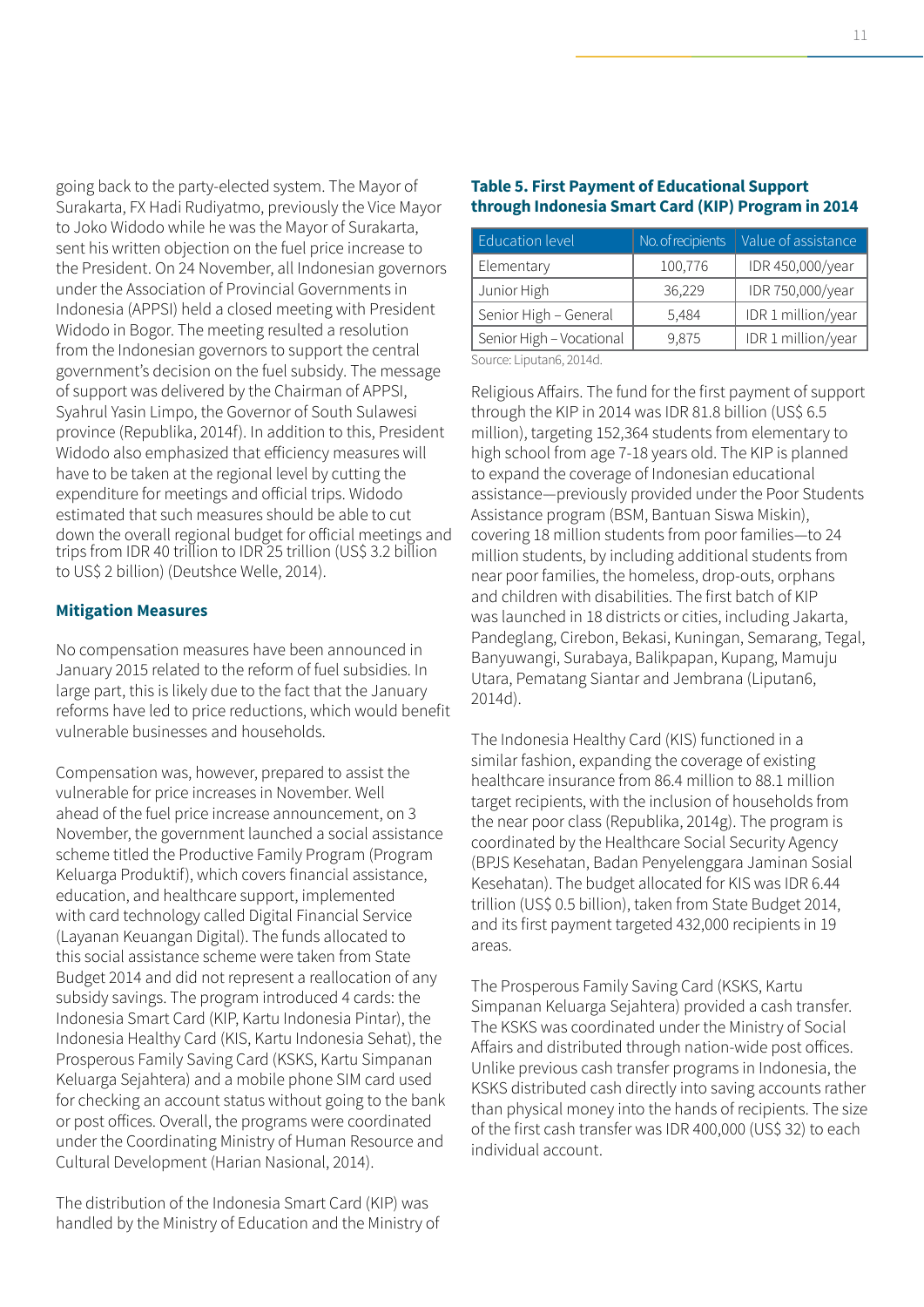going back to the party-elected system. The Mayor of Surakarta, FX Hadi Rudiyatmo, previously the Vice Mayor to Joko Widodo while he was the Mayor of Surakarta, sent his written objection on the fuel price increase to the President. On 24 November, all Indonesian governors under the Association of Provincial Governments in Indonesia (APPSI) held a closed meeting with President Widodo in Bogor. The meeting resulted a resolution from the Indonesian governors to support the central government's decision on the fuel subsidy. The message of support was delivered by the Chairman of APPSI, Syahrul Yasin Limpo, the Governor of South Sulawesi province (Republika, 2014f). In addition to this, President Widodo also emphasized that efficiency measures will have to be taken at the regional level by cutting the expenditure for meetings and official trips. Widodo estimated that such measures should be able to cut down the overall regional budget for official meetings and trips from IDR 40 trillion to IDR 25 trillion (US\$ 3.2 billion to US\$ 2 billion) (Deutshce Welle, 2014).

#### **Mitigation Measures**

No compensation measures have been announced in January 2015 related to the reform of fuel subsidies. In large part, this is likely due to the fact that the January reforms have led to price reductions, which would benefit vulnerable businesses and households.

Compensation was, however, prepared to assist the vulnerable for price increases in November. Well ahead of the fuel price increase announcement, on 3 November, the government launched a social assistance scheme titled the Productive Family Program (Program Keluarga Produktif), which covers financial assistance, education, and healthcare support, implemented with card technology called Digital Financial Service (Layanan Keuangan Digital). The funds allocated to this social assistance scheme were taken from State Budget 2014 and did not represent a reallocation of any subsidy savings. The program introduced 4 cards: the Indonesia Smart Card (KIP, Kartu Indonesia Pintar), the Indonesia Healthy Card (KIS, Kartu Indonesia Sehat), the Prosperous Family Saving Card (KSKS, Kartu Simpanan Keluarga Sejahtera) and a mobile phone SIM card used for checking an account status without going to the bank or post offices. Overall, the programs were coordinated under the Coordinating Ministry of Human Resource and Cultural Development (Harian Nasional, 2014).

The distribution of the Indonesia Smart Card (KIP) was handled by the Ministry of Education and the Ministry of

# **Table 5. First Payment of Educational Support through Indonesia Smart Card (KIP) Program in 2014**

| <b>Education level</b>   | No. of recipients | Value of assistance |  |  |
|--------------------------|-------------------|---------------------|--|--|
| Elementary               | 100,776           | IDR 450,000/year    |  |  |
| Junior High              | 36,229            | IDR 750,000/year    |  |  |
| Senior High - General    | 5,484             | IDR 1 million/year  |  |  |
| Senior High - Vocational | 9,875             | IDR 1 million/year  |  |  |

Source: Liputan6, 2014d.

Religious Affairs. The fund for the first payment of support through the KIP in 2014 was IDR 81.8 billion (US\$ 6.5 million), targeting 152,364 students from elementary to high school from age 7-18 years old. The KIP is planned to expand the coverage of Indonesian educational assistance―previously provided under the Poor Students Assistance program (BSM, Bantuan Siswa Miskin), covering 18 million students from poor families―to 24 million students, by including additional students from near poor families, the homeless, drop-outs, orphans and children with disabilities. The first batch of KIP was launched in 18 districts or cities, including Jakarta, Pandeglang, Cirebon, Bekasi, Kuningan, Semarang, Tegal, Banyuwangi, Surabaya, Balikpapan, Kupang, Mamuju Utara, Pematang Siantar and Jembrana (Liputan6, 2014d).

The Indonesia Healthy Card (KIS) functioned in a similar fashion, expanding the coverage of existing healthcare insurance from 86.4 million to 88.1 million target recipients, with the inclusion of households from the near poor class (Republika, 2014g). The program is coordinated by the Healthcare Social Security Agency (BPJS Kesehatan, Badan Penyelenggara Jaminan Sosial Kesehatan). The budget allocated for KIS was IDR 6.44 trillion (US\$ 0.5 billion), taken from State Budget 2014, and its first payment targeted 432,000 recipients in 19 areas.

The Prosperous Family Saving Card (KSKS, Kartu Simpanan Keluarga Sejahtera) provided a cash transfer. The KSKS was coordinated under the Ministry of Social Affairs and distributed through nation-wide post offices. Unlike previous cash transfer programs in Indonesia, the KSKS distributed cash directly into saving accounts rather than physical money into the hands of recipients. The size of the first cash transfer was IDR 400,000 (US\$ 32) to each individual account.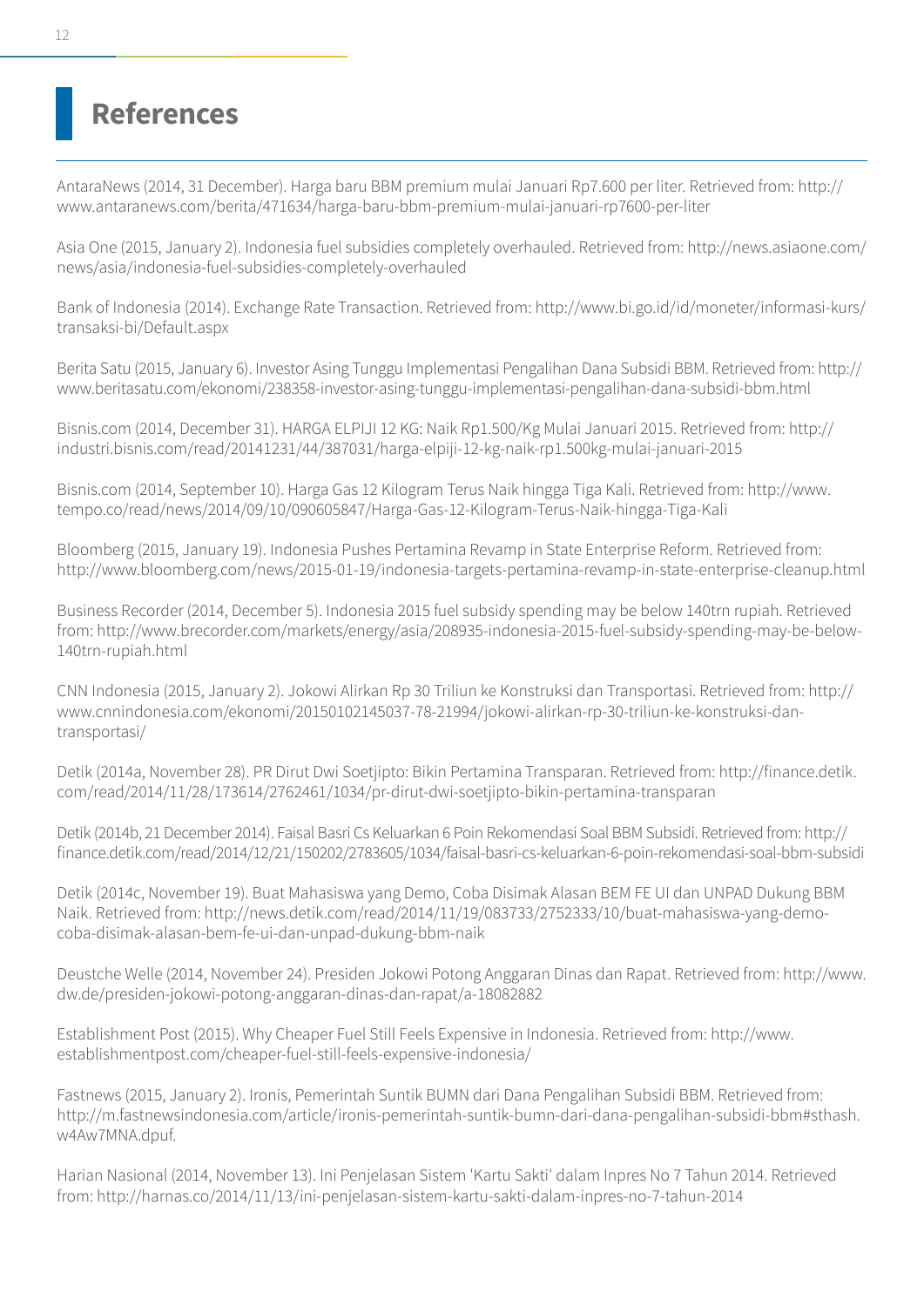# **References**

AntaraNews (2014, 31 December). Harga baru BBM premium mulai Januari Rp7.600 per liter. Retrieved from: http:// www.antaranews.com/berita/471634/harga-baru-bbm-premium-mulai-januari-rp7600-per-liter

Asia One (2015, January 2). Indonesia fuel subsidies completely overhauled. Retrieved from: http://news.asiaone.com/ news/asia/indonesia-fuel-subsidies-completely-overhauled

Bank of Indonesia (2014). Exchange Rate Transaction. Retrieved from: http://www.bi.go.id/id/moneter/informasi-kurs/ transaksi-bi/Default.aspx

Berita Satu (2015, January 6). Investor Asing Tunggu Implementasi Pengalihan Dana Subsidi BBM. Retrieved from: http:// www.beritasatu.com/ekonomi/238358-investor-asing-tunggu-implementasi-pengalihan-dana-subsidi-bbm.html

Bisnis.com (2014, December 31). HARGA ELPIJI 12 KG: Naik Rp1.500/Kg Mulai Januari 2015. Retrieved from: http:// industri.bisnis.com/read/20141231/44/387031/harga-elpiji-12-kg-naik-rp1.500kg-mulai-januari-2015

Bisnis.com (2014, September 10). Harga Gas 12 Kilogram Terus Naik hingga Tiga Kali. Retrieved from: http://www. tempo.co/read/news/2014/09/10/090605847/Harga-Gas-12-Kilogram-Terus-Naik-hingga-Tiga-Kali

Bloomberg (2015, January 19). Indonesia Pushes Pertamina Revamp in State Enterprise Reform. Retrieved from: http://www.bloomberg.com/news/2015-01-19/indonesia-targets-pertamina-revamp-in-state-enterprise-cleanup.html

Business Recorder (2014, December 5). Indonesia 2015 fuel subsidy spending may be below 140trn rupiah. Retrieved from: http://www.brecorder.com/markets/energy/asia/208935-indonesia-2015-fuel-subsidy-spending-may-be-below-140trn-rupiah.html

CNN Indonesia (2015, January 2). Jokowi Alirkan Rp 30 Triliun ke Konstruksi dan Transportasi. Retrieved from: http:// www.cnnindonesia.com/ekonomi/20150102145037-78-21994/jokowi-alirkan-rp-30-triliun-ke-konstruksi-dantransportasi/

Detik (2014a, November 28). PR Dirut Dwi Soetjipto: Bikin Pertamina Transparan. Retrieved from: http://finance.detik. com/read/2014/11/28/173614/2762461/1034/pr-dirut-dwi-soetjipto-bikin-pertamina-transparan

Detik (2014b, 21 December 2014). Faisal Basri Cs Keluarkan 6 Poin Rekomendasi Soal BBM Subsidi. Retrieved from: http:// finance.detik.com/read/2014/12/21/150202/2783605/1034/faisal-basri-cs-keluarkan-6-poin-rekomendasi-soal-bbm-subsidi

Detik (2014c, November 19). Buat Mahasiswa yang Demo, Coba Disimak Alasan BEM FE UI dan UNPAD Dukung BBM Naik. Retrieved from: http://news.detik.com/read/2014/11/19/083733/2752333/10/buat-mahasiswa-yang-democoba-disimak-alasan-bem-fe-ui-dan-unpad-dukung-bbm-naik

Deustche Welle (2014, November 24). Presiden Jokowi Potong Anggaran Dinas dan Rapat. Retrieved from: http://www. dw.de/presiden-jokowi-potong-anggaran-dinas-dan-rapat/a-18082882

Establishment Post (2015). Why Cheaper Fuel Still Feels Expensive in Indonesia. Retrieved from: http://www. establishmentpost.com/cheaper-fuel-still-feels-expensive-indonesia/

Fastnews (2015, January 2). Ironis, Pemerintah Suntik BUMN dari Dana Pengalihan Subsidi BBM. Retrieved from: http://m.fastnewsindonesia.com/article/ironis-pemerintah-suntik-bumn-dari-dana-pengalihan-subsidi-bbm#sthash. w4Aw7MNA.dpuf.

Harian Nasional (2014, November 13). Ini Penjelasan Sistem 'Kartu Sakti' dalam Inpres No 7 Tahun 2014. Retrieved from: http://harnas.co/2014/11/13/ini-penjelasan-sistem-kartu-sakti-dalam-inpres-no-7-tahun-2014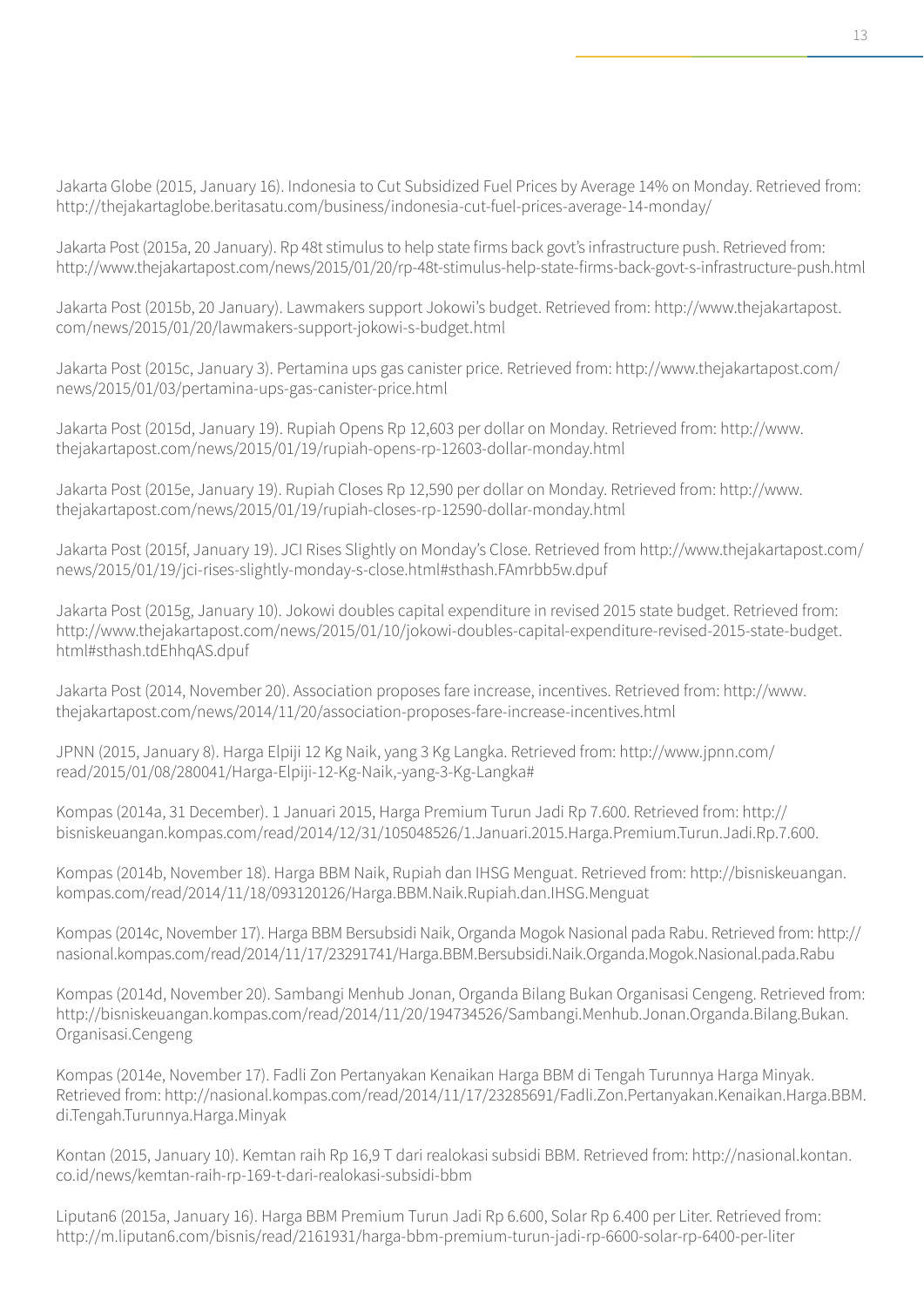Jakarta Globe (2015, January 16). Indonesia to Cut Subsidized Fuel Prices by Average 14% on Monday. Retrieved from: http://thejakartaglobe.beritasatu.com/business/indonesia-cut-fuel-prices-average-14-monday/

Jakarta Post (2015a, 20 January). Rp 48t stimulus to help state firms back govt's infrastructure push. Retrieved from: http://www.thejakartapost.com/news/2015/01/20/rp-48t-stimulus-help-state-firms-back-govt-s-infrastructure-push.html

Jakarta Post (2015b, 20 January). Lawmakers support Jokowi's budget. Retrieved from: http://www.thejakartapost. com/news/2015/01/20/lawmakers-support-jokowi-s-budget.html

Jakarta Post (2015c, January 3). Pertamina ups gas canister price. Retrieved from: http://www.thejakartapost.com/ news/2015/01/03/pertamina-ups-gas-canister-price.html

Jakarta Post (2015d, January 19). Rupiah Opens Rp 12,603 per dollar on Monday. Retrieved from: http://www. thejakartapost.com/news/2015/01/19/rupiah-opens-rp-12603-dollar-monday.html

Jakarta Post (2015e, January 19). Rupiah Closes Rp 12,590 per dollar on Monday. Retrieved from: http://www. thejakartapost.com/news/2015/01/19/rupiah-closes-rp-12590-dollar-monday.html

Jakarta Post (2015f, January 19). JCI Rises Slightly on Monday's Close. Retrieved from http://www.thejakartapost.com/ news/2015/01/19/jci-rises-slightly-monday-s-close.html#sthash.FAmrbb5w.dpuf

Jakarta Post (2015g, January 10). Jokowi doubles capital expenditure in revised 2015 state budget. Retrieved from: http://www.thejakartapost.com/news/2015/01/10/jokowi-doubles-capital-expenditure-revised-2015-state-budget. html#sthash.tdEhhqAS.dpuf

Jakarta Post (2014, November 20). Association proposes fare increase, incentives. Retrieved from: http://www. thejakartapost.com/news/2014/11/20/association-proposes-fare-increase-incentives.html

JPNN (2015, January 8). Harga Elpiji 12 Kg Naik, yang 3 Kg Langka. Retrieved from: http://www.jpnn.com/ read/2015/01/08/280041/Harga-Elpiji-12-Kg-Naik,-yang-3-Kg-Langka#

Kompas (2014a, 31 December). 1 Januari 2015, Harga Premium Turun Jadi Rp 7.600. Retrieved from: http:// bisniskeuangan.kompas.com/read/2014/12/31/105048526/1.Januari.2015.Harga.Premium.Turun.Jadi.Rp.7.600.

Kompas (2014b, November 18). Harga BBM Naik, Rupiah dan IHSG Menguat. Retrieved from: http://bisniskeuangan. kompas.com/read/2014/11/18/093120126/Harga.BBM.Naik.Rupiah.dan.IHSG.Menguat

Kompas (2014c, November 17). Harga BBM Bersubsidi Naik, Organda Mogok Nasional pada Rabu. Retrieved from: http:// nasional.kompas.com/read/2014/11/17/23291741/Harga.BBM.Bersubsidi.Naik.Organda.Mogok.Nasional.pada.Rabu

Kompas (2014d, November 20). Sambangi Menhub Jonan, Organda Bilang Bukan Organisasi Cengeng. Retrieved from: http://bisniskeuangan.kompas.com/read/2014/11/20/194734526/Sambangi.Menhub.Jonan.Organda.Bilang.Bukan. Organisasi.Cengeng

Kompas (2014e, November 17). Fadli Zon Pertanyakan Kenaikan Harga BBM di Tengah Turunnya Harga Minyak. Retrieved from: http://nasional.kompas.com/read/2014/11/17/23285691/Fadli.Zon.Pertanyakan.Kenaikan.Harga.BBM. di.Tengah.Turunnya.Harga.Minyak

Kontan (2015, January 10). Kemtan raih Rp 16,9 T dari realokasi subsidi BBM. Retrieved from: http://nasional.kontan. co.id/news/kemtan-raih-rp-169-t-dari-realokasi-subsidi-bbm

Liputan6 (2015a, January 16). Harga BBM Premium Turun Jadi Rp 6.600, Solar Rp 6.400 per Liter. Retrieved from: http://m.liputan6.com/bisnis/read/2161931/harga-bbm-premium-turun-jadi-rp-6600-solar-rp-6400-per-liter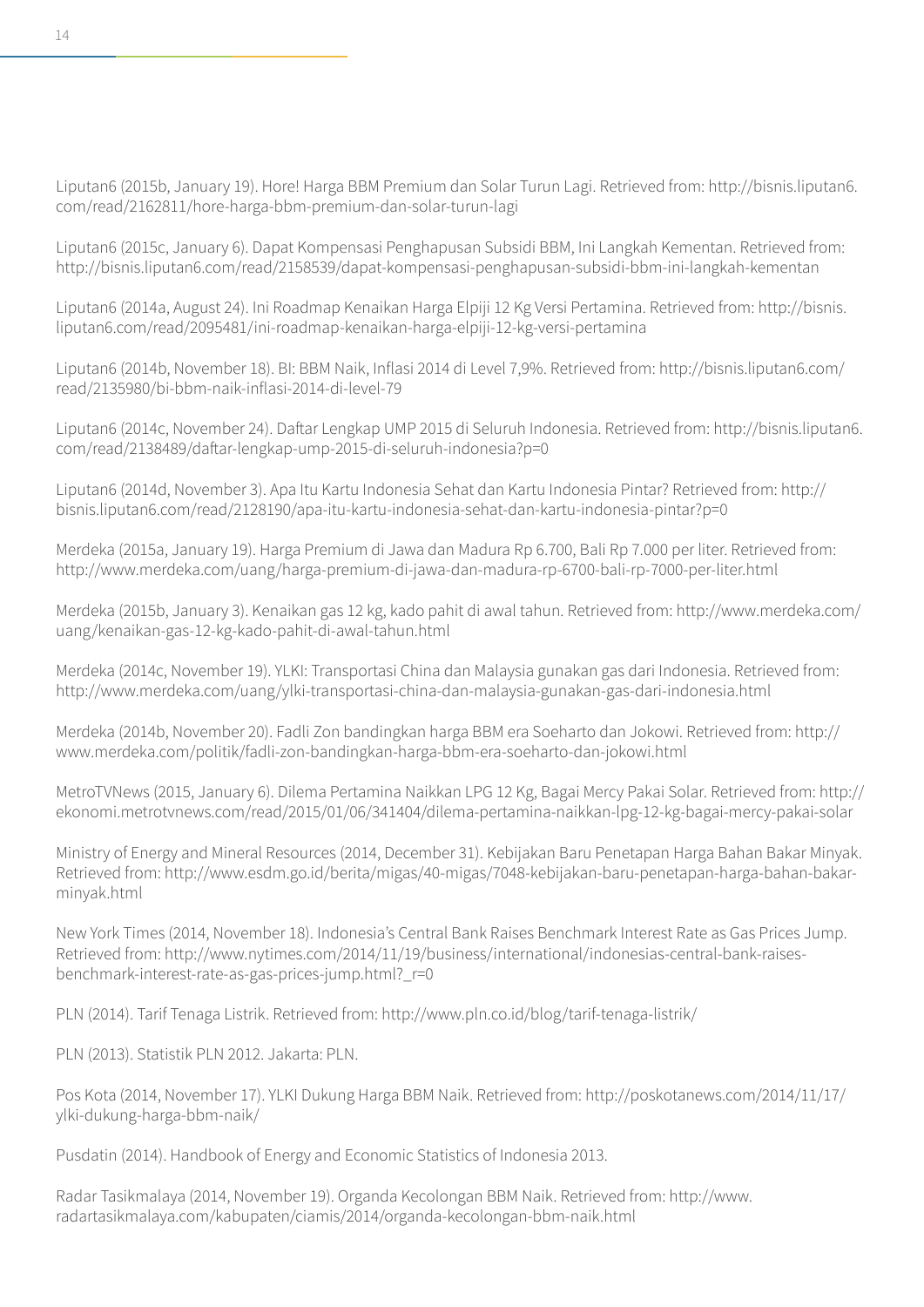Liputan6 (2015b, January 19). Hore! Harga BBM Premium dan Solar Turun Lagi. Retrieved from: http://bisnis.liputan6. com/read/2162811/hore-harga-bbm-premium-dan-solar-turun-lagi

Liputan6 (2015c, January 6). Dapat Kompensasi Penghapusan Subsidi BBM, Ini Langkah Kementan. Retrieved from: http://bisnis.liputan6.com/read/2158539/dapat-kompensasi-penghapusan-subsidi-bbm-ini-langkah-kementan

Liputan6 (2014a, August 24). Ini Roadmap Kenaikan Harga Elpiji 12 Kg Versi Pertamina. Retrieved from: http://bisnis. liputan6.com/read/2095481/ini-roadmap-kenaikan-harga-elpiji-12-kg-versi-pertamina

Liputan6 (2014b, November 18). BI: BBM Naik, Inflasi 2014 di Level 7,9%. Retrieved from: http://bisnis.liputan6.com/ read/2135980/bi-bbm-naik-inflasi-2014-di-level-79

Liputan6 (2014c, November 24). Daftar Lengkap UMP 2015 di Seluruh Indonesia. Retrieved from: http://bisnis.liputan6. com/read/2138489/daftar-lengkap-ump-2015-di-seluruh-indonesia?p=0

Liputan6 (2014d, November 3). Apa Itu Kartu Indonesia Sehat dan Kartu Indonesia Pintar? Retrieved from: http:// bisnis.liputan6.com/read/2128190/apa-itu-kartu-indonesia-sehat-dan-kartu-indonesia-pintar?p=0

Merdeka (2015a, January 19). Harga Premium di Jawa dan Madura Rp 6.700, Bali Rp 7.000 per liter. Retrieved from: http://www.merdeka.com/uang/harga-premium-di-jawa-dan-madura-rp-6700-bali-rp-7000-per-liter.html

Merdeka (2015b, January 3). Kenaikan gas 12 kg, kado pahit di awal tahun. Retrieved from: http://www.merdeka.com/ uang/kenaikan-gas-12-kg-kado-pahit-di-awal-tahun.html

Merdeka (2014c, November 19). YLKI: Transportasi China dan Malaysia gunakan gas dari Indonesia. Retrieved from: http://www.merdeka.com/uang/ylki-transportasi-china-dan-malaysia-gunakan-gas-dari-indonesia.html

Merdeka (2014b, November 20). Fadli Zon bandingkan harga BBM era Soeharto dan Jokowi. Retrieved from: http:// www.merdeka.com/politik/fadli-zon-bandingkan-harga-bbm-era-soeharto-dan-jokowi.html

MetroTVNews (2015, January 6). Dilema Pertamina Naikkan LPG 12 Kg, Bagai Mercy Pakai Solar. Retrieved from: http:// ekonomi.metrotvnews.com/read/2015/01/06/341404/dilema-pertamina-naikkan-lpg-12-kg-bagai-mercy-pakai-solar

Ministry of Energy and Mineral Resources (2014, December 31). Kebijakan Baru Penetapan Harga Bahan Bakar Minyak. Retrieved from: http://www.esdm.go.id/berita/migas/40-migas/7048-kebijakan-baru-penetapan-harga-bahan-bakarminyak.html

New York Times (2014, November 18). Indonesia's Central Bank Raises Benchmark Interest Rate as Gas Prices Jump. Retrieved from: http://www.nytimes.com/2014/11/19/business/international/indonesias-central-bank-raisesbenchmark-interest-rate-as-gas-prices-jump.html?\_r=0

PLN (2014). Tarif Tenaga Listrik. Retrieved from: http://www.pln.co.id/blog/tarif-tenaga-listrik/

PLN (2013). Statistik PLN 2012. Jakarta: PLN.

Pos Kota (2014, November 17). YLKI Dukung Harga BBM Naik. Retrieved from: http://poskotanews.com/2014/11/17/ ylki-dukung-harga-bbm-naik/

Pusdatin (2014). Handbook of Energy and Economic Statistics of Indonesia 2013.

Radar Tasikmalaya (2014, November 19). Organda Kecolongan BBM Naik. Retrieved from: http://www. radartasikmalaya.com/kabupaten/ciamis/2014/organda-kecolongan-bbm-naik.html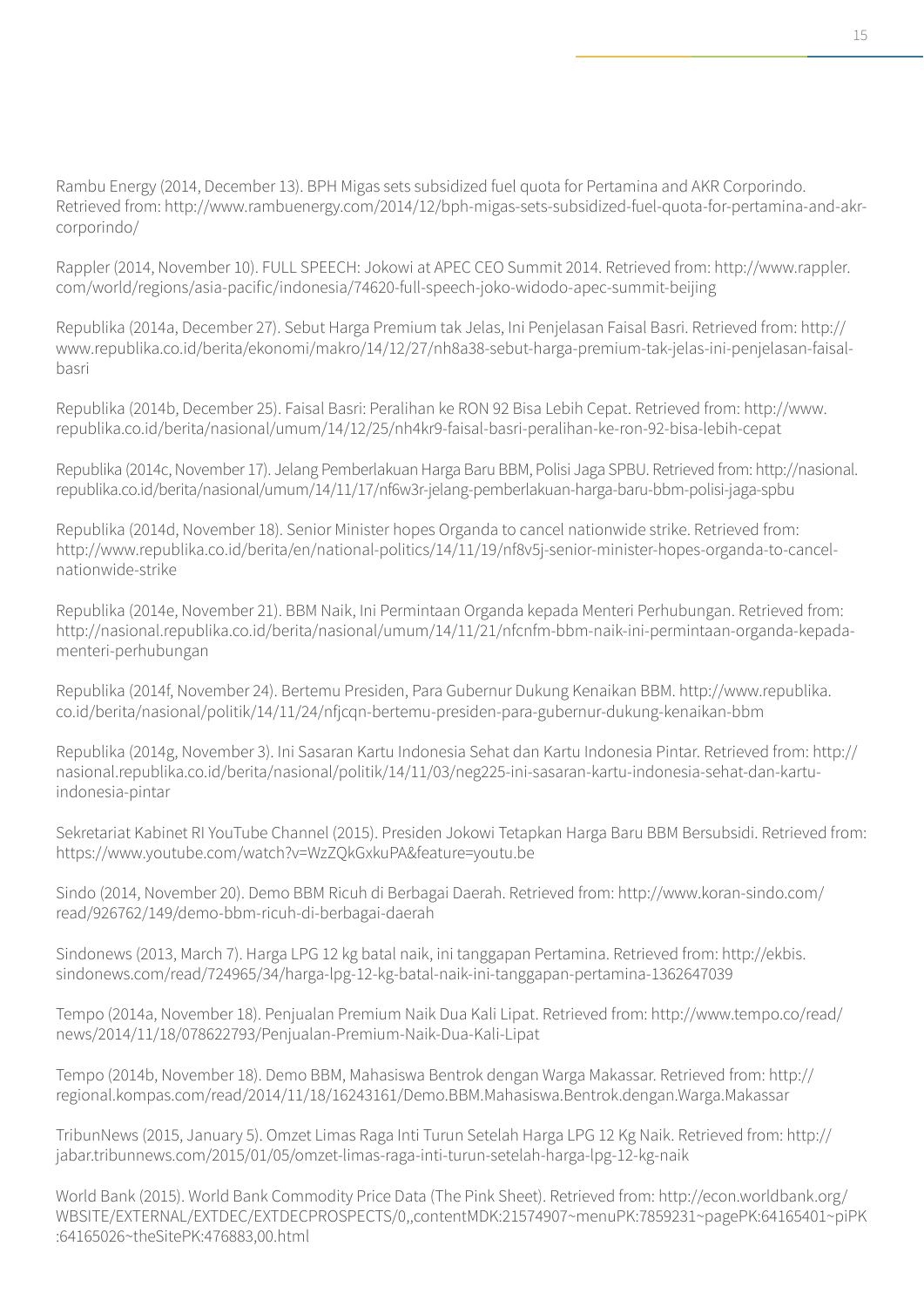Rambu Energy (2014, December 13). BPH Migas sets subsidized fuel quota for Pertamina and AKR Corporindo. Retrieved from: http://www.rambuenergy.com/2014/12/bph-migas-sets-subsidized-fuel-quota-for-pertamina-and-akrcorporindo/

Rappler (2014, November 10). FULL SPEECH: Jokowi at APEC CEO Summit 2014. Retrieved from: http://www.rappler. com/world/regions/asia-pacific/indonesia/74620-full-speech-joko-widodo-apec-summit-beijing

Republika (2014a, December 27). Sebut Harga Premium tak Jelas, Ini Penjelasan Faisal Basri. Retrieved from: http:// www.republika.co.id/berita/ekonomi/makro/14/12/27/nh8a38-sebut-harga-premium-tak-jelas-ini-penjelasan-faisalbasri

Republika (2014b, December 25). Faisal Basri: Peralihan ke RON 92 Bisa Lebih Cepat. Retrieved from: http://www. republika.co.id/berita/nasional/umum/14/12/25/nh4kr9-faisal-basri-peralihan-ke-ron-92-bisa-lebih-cepat

Republika (2014c, November 17). Jelang Pemberlakuan Harga Baru BBM, Polisi Jaga SPBU. Retrieved from: http://nasional. republika.co.id/berita/nasional/umum/14/11/17/nf6w3r-jelang-pemberlakuan-harga-baru-bbm-polisi-jaga-spbu

Republika (2014d, November 18). Senior Minister hopes Organda to cancel nationwide strike. Retrieved from: http://www.republika.co.id/berita/en/national-politics/14/11/19/nf8v5j-senior-minister-hopes-organda-to-cancelnationwide-strike

Republika (2014e, November 21). BBM Naik, Ini Permintaan Organda kepada Menteri Perhubungan. Retrieved from: http://nasional.republika.co.id/berita/nasional/umum/14/11/21/nfcnfm-bbm-naik-ini-permintaan-organda-kepadamenteri-perhubungan

Republika (2014f, November 24). Bertemu Presiden, Para Gubernur Dukung Kenaikan BBM. http://www.republika. co.id/berita/nasional/politik/14/11/24/nfjcqn-bertemu-presiden-para-gubernur-dukung-kenaikan-bbm

Republika (2014g, November 3). Ini Sasaran Kartu Indonesia Sehat dan Kartu Indonesia Pintar. Retrieved from: http:// nasional.republika.co.id/berita/nasional/politik/14/11/03/neg225-ini-sasaran-kartu-indonesia-sehat-dan-kartuindonesia-pintar

Sekretariat Kabinet RI YouTube Channel (2015). Presiden Jokowi Tetapkan Harga Baru BBM Bersubsidi. Retrieved from: https://www.youtube.com/watch?v=WzZQkGxkuPA&feature=youtu.be

Sindo (2014, November 20). Demo BBM Ricuh di Berbagai Daerah. Retrieved from: http://www.koran-sindo.com/ read/926762/149/demo-bbm-ricuh-di-berbagai-daerah

Sindonews (2013, March 7). Harga LPG 12 kg batal naik, ini tanggapan Pertamina. Retrieved from: http://ekbis. sindonews.com/read/724965/34/harga-lpg-12-kg-batal-naik-ini-tanggapan-pertamina-1362647039

Tempo (2014a, November 18). Penjualan Premium Naik Dua Kali Lipat. Retrieved from: http://www.tempo.co/read/ news/2014/11/18/078622793/Penjualan-Premium-Naik-Dua-Kali-Lipat

Tempo (2014b, November 18). Demo BBM, Mahasiswa Bentrok dengan Warga Makassar. Retrieved from: http:// regional.kompas.com/read/2014/11/18/16243161/Demo.BBM.Mahasiswa.Bentrok.dengan.Warga.Makassar

TribunNews (2015, January 5). Omzet Limas Raga Inti Turun Setelah Harga LPG 12 Kg Naik. Retrieved from: http:// jabar.tribunnews.com/2015/01/05/omzet-limas-raga-inti-turun-setelah-harga-lpg-12-kg-naik

World Bank (2015). World Bank Commodity Price Data (The Pink Sheet). Retrieved from: http://econ.worldbank.org/ WBSITE/EXTERNAL/EXTDEC/EXTDECPROSPECTS/0,,contentMDK:21574907~menuPK:7859231~pagePK:64165401~piPK :64165026~theSitePK:476883,00.html